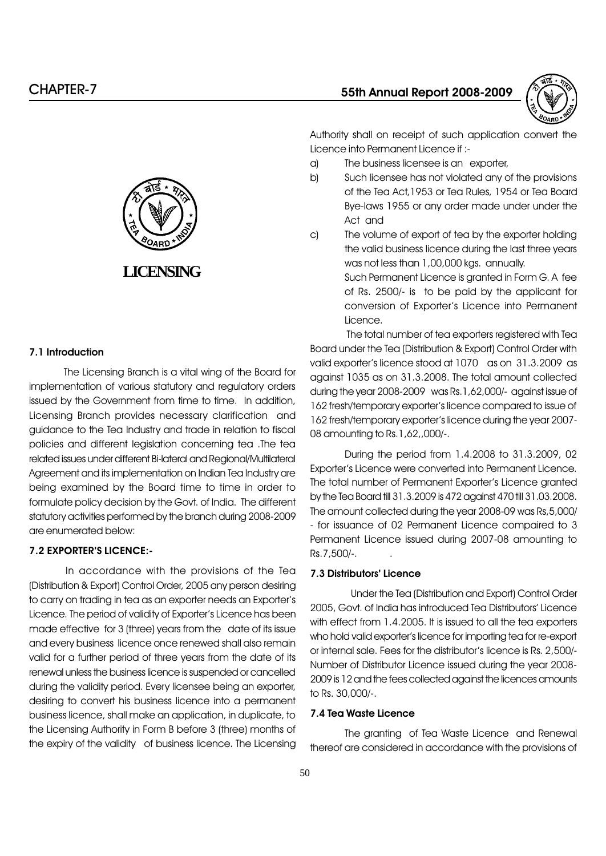

Authority shall on receipt of such application convert the Licence into Permanent Licence if :-

- a) The business licensee is an exporter,
- b) Such licensee has not violated any of the provisions of the Tea Act,1953 or Tea Rules, 1954 or Tea Board Bye-laws 1955 or any order made under under the Act and
- c) The volume of export of tea by the exporter holding the valid business licence during the last three years was not less than 1,00,000 kgs. annually. Such Permanent Licence is granted in Form G. A fee of Rs. 2500/- is to be paid by the applicant for conversion of Exporter's Licence into Permanent Licence.

The total number of tea exporters registered with Tea Board under the Tea (Distribution & Export) Control Order with valid exporter's licence stood at 1070 as on 31.3.2009 as against 1035 as on 31.3.2008. The total amount collected during the year 2008-2009 was Rs.1,62,000/- against issue of 162 fresh/temporary exporter's licence compared to issue of 162 fresh/temporary exporter's licence during the year 2007-08 amounting to Rs.1,62,,000/-.

During the period from 1.4.2008 to 31.3.2009, 02 Exporter's Licence were converted into Permanent Licence. The total number of Permanent Exporter's Licence granted by the Tea Board till 31.3.2009 is 472 against 470 till 31.03.2008. The amount collected during the year 2008-09 was Rs,5,000/ - for issuance of 02 Permanent Licence compaired to 3 Permanent Licence issued during 2007-08 amounting to Rs.7,500/-. .

#### 7.3 Distributors' Licence

 Under the Tea (Distribution and Export) Control Order 2005, Govt. of India has introduced Tea Distributors' Licence with effect from 1.4.2005. It is issued to all the tea exporters who hold valid exporter's licence for importing tea for re-export or internal sale. Fees for the distributor's licence is Rs. 2,500/-Number of Distributor Licence issued during the year 2008- 2009 is 12 and the fees collected against the licences amounts to Rs. 30,000/-.

#### 7.4 Tea Waste Licence

The granting of Tea Waste Licence and Renewal thereof are considered in accordance with the provisions of



#### 7.1 Introduction

The Licensing Branch is a vital wing of the Board for implementation of various statutory and regulatory orders issued by the Government from time to time. In addition, Licensing Branch provides necessary clarification and guidance to the Tea Industry and trade in relation to fiscal policies and different legislation concerning tea .The tea related issues under different Bi-lateral and Regional/Multilateral Agreement and its implementation on Indian Tea Industry are being examined by the Board time to time in order to formulate policy decision by the Govt. of India. The different statutory activities performed by the branch during 2008-2009 are enumerated below:

#### 7.2 EXPORTER'S LICENCE:-

In accordance with the provisions of the Tea (Distribution & Export) Control Order, 2005 any person desiring to carry on trading in tea as an exporter needs an Exporter's Licence. The period of validity of Exporter's Licence has been made effective for 3 (three) years from the date of its issue and every business licence once renewed shall also remain valid for a further period of three years from the date of its renewal unless the business licence is suspended or cancelled during the validity period. Every licensee being an exporter, desiring to convert his business licence into a permanent business licence, shall make an application, in duplicate, to the Licensing Authority in Form B before 3 (three) months of the expiry of the validity of business licence. The Licensing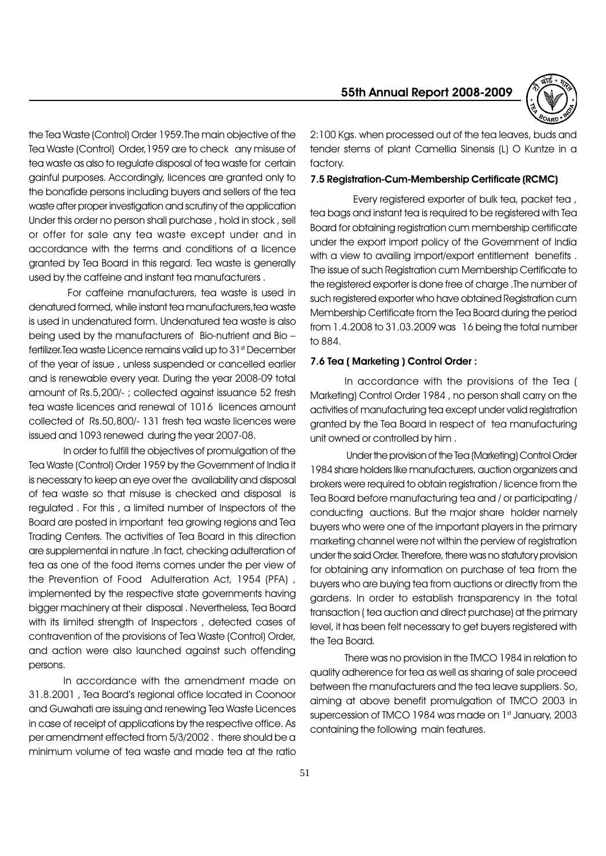

the Tea Waste (Control) Order 1959.The main objective of the Tea Waste (Control) Order,1959 are to check any misuse of tea waste as also to regulate disposal of tea waste for certain gainful purposes. Accordingly, licences are granted only to the bonafide persons including buyers and sellers of the tea waste after proper investigation and scrutiny of the application Under this order no person shall purchase , hold in stock , sell or offer for sale any tea waste except under and in accordance with the terms and conditions of a licence granted by Tea Board in this regard. Tea waste is generally used by the caffeine and instant tea manufacturers .

 For caffeine manufacturers, tea waste is used in denatured formed, while instant tea manufacturers,tea waste is used in undenatured form. Undenatured tea waste is also being used by the manufacturers of Bio-nutrient and Bio fertilizer. Tea waste Licence remains valid up to 31st December of the year of issue , unless suspended or cancelled earlier and is renewable every year. During the year 2008-09 total amount of Rs.5,200/- ; collected against issuance 52 fresh tea waste licences and renewal of 1016 licences amount collected of Rs.50,800/- 131 fresh tea waste licences were issued and 1093 renewed during the year 2007-08.

In order to fulfill the objectives of promulgation of the Tea Waste (Control) Order 1959 by the Government of India it is necessary to keep an eye over the availability and disposal of tea waste so that misuse is checked and disposal is regulated . For this , a limited number of Inspectors of the Board are posted in important tea growing regions and Tea Trading Centers. The activities of Tea Board in this direction are supplemental in nature .In fact, checking adulteration of tea as one of the food items comes under the per view of the Prevention of Food Adulteration Act, 1954 (PFA) , implemented by the respective state governments having bigger machinery at their disposal . Nevertheless, Tea Board with its limited strength of Inspectors, detected cases of contravention of the provisions of Tea Waste (Control) Order, and action were also launched against such offending persons.

In accordance with the amendment made on 31.8.2001, Tea Board's regional office located in Coonoor and Guwahati are issuing and renewing Tea Waste Licences in case of receipt of applications by the respective office. As per amendment effected from 5/3/2002 . there should be a minimum volume of tea waste and made tea at the ratio

2:100 Kgs. when processed out of the tea leaves, buds and tender stems of plant Camellia Sinensis (L) O Kuntze in a factory.

#### 7.5 Registration-Cum-Membership Certificate (RCMC)

 Every registered exporter of bulk tea, packet tea , tea bags and instant tea is required to be registered with Tea Board for obtaining registration cum membership certificate under the export import policy of the Government of India with a view to availing import/export entitlement benefits. The issue of such Registration cum Membership Certificate to the registered exporter is done free of charge .The number of such registered exporter who have obtained Registration cum Membership Certificate from the Tea Board during the period from 1.4.2008 to 31.03.2009 was 16 being the total number to 884.

#### 7.6 Tea ( Marketing ) Control Order :

In accordance with the provisions of the Tea ( Marketing) Control Order 1984 , no person shall carry on the activities of manufacturing tea except under valid registration granted by the Tea Board in respect of tea manufacturing unit owned or controlled by him .

 Under the provision of the Tea (Marketing) Control Order 1984 share holders like manufacturers, auction organizers and brokers were required to obtain registration / licence from the Tea Board before manufacturing tea and / or participating / conducting auctions. But the major share holder namely buyers who were one of the important players in the primary marketing channel were not within the perview of registration under the said Order. Therefore, there was no statutory provision for obtaining any information on purchase of tea from the buyers who are buying tea from auctions or directly from the gardens. In order to establish transparency in the total transaction ( tea auction and direct purchase) at the primary level, it has been felt necessary to get buyers registered with the Tea Board.

There was no provision in the TMCO 1984 in relation to quality adherence for tea as well as sharing of sale proceed between the manufacturers and the tea leave suppliers. So, aiming at above benefit promulgation of TMCO 2003 in supercession of TMCO 1984 was made on 1st January, 2003 containing the following main features.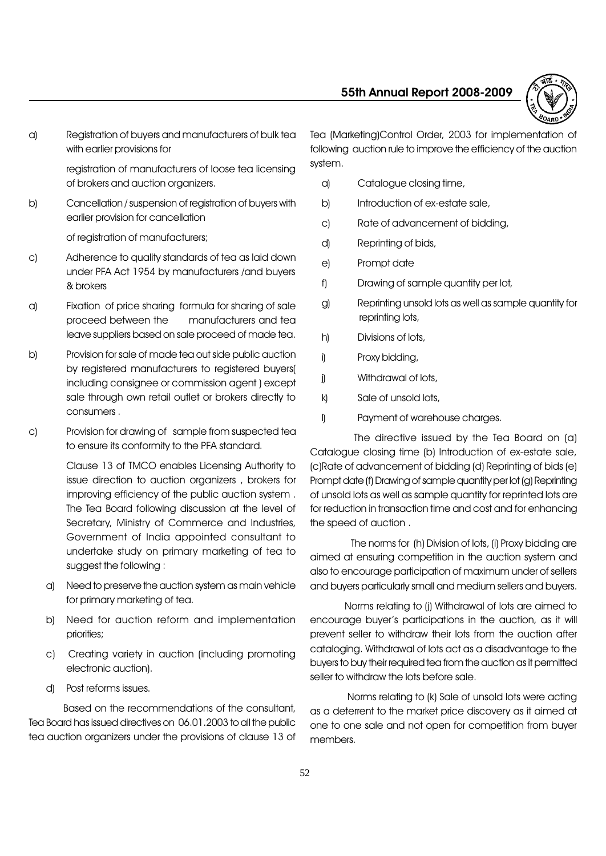

a) Registration of buyers and manufacturers of bulk tea with earlier provisions for

> registration of manufacturers of loose tea licensing of brokers and auction organizers.

b) Cancellation / suspension of registration of buyers with earlier provision for cancellation

of registration of manufacturers;

- c) Adherence to quality standards of tea as laid down under PFA Act 1954 by manufacturers /and buyers & brokers
- a) Fixation of price sharing formula for sharing of sale proceed between the manufacturers and tea leave suppliers based on sale proceed of made tea.
- b) Provision for sale of made tea out side public auction by registered manufacturers to registered buyers( including consignee or commission agent ) except sale through own retail outlet or brokers directly to consumers .
- c) Provision for drawing of sample from suspected tea to ensure its conformity to the PFA standard.

Clause 13 of TMCO enables Licensing Authority to issue direction to auction organizers , brokers for improving efficiency of the public auction system . The Tea Board following discussion at the level of Secretary, Ministry of Commerce and Industries, Government of India appointed consultant to undertake study on primary marketing of tea to suggest the following :

- a) Need to preserve the auction system as main vehicle for primary marketing of tea.
- b) Need for auction reform and implementation priorities;
- c) Creating variety in auction (including promoting electronic auction).
- d) Post reforms issues.

Based on the recommendations of the consultant, Tea Board has issued directives on 06.01.2003 to all the public tea auction organizers under the provisions of clause 13 of Tea (Marketing)Control Order, 2003 for implementation of following auction rule to improve the efficiency of the auction system.

- a) Catalogue closing time,
- b) Introduction of ex-estate sale,
- c) Rate of advancement of bidding,
- d) Reprinting of bids,
- e) Prompt date
- f) Drawing of sample quantity per lot,
- g) Reprinting unsold lots as well as sample quantity for reprinting lots,
- h) Divisions of lots,
- i) Proxy bidding,
- j) Withdrawal of lots,
- k) Sale of unsold lots,
- Payment of warehouse charges.

 The directive issued by the Tea Board on (a) Catalogue closing time (b) Introduction of ex-estate sale, (c)Rate of advancement of bidding (d) Reprinting of bids (e) Prompt date (f) Drawing of sample quantity per lot (g) Reprinting of unsold lots as well as sample quantity for reprinted lots are for reduction in transaction time and cost and for enhancing the speed of auction .

 The norms for (h) Division of lots, (i) Proxy bidding are aimed at ensuring competition in the auction system and also to encourage participation of maximum under of sellers and buyers particularly small and medium sellers and buyers.

Norms relating to (j) Withdrawal of lots are aimed to encourage buyer's participations in the auction, as it will prevent seller to withdraw their lots from the auction after cataloging. Withdrawal of lots act as a disadvantage to the buyers to buy their required tea from the auction as it permitted seller to withdraw the lots before sale.

 Norms relating to (k) Sale of unsold lots were acting as a deterrent to the market price discovery as it aimed at one to one sale and not open for competition from buyer members.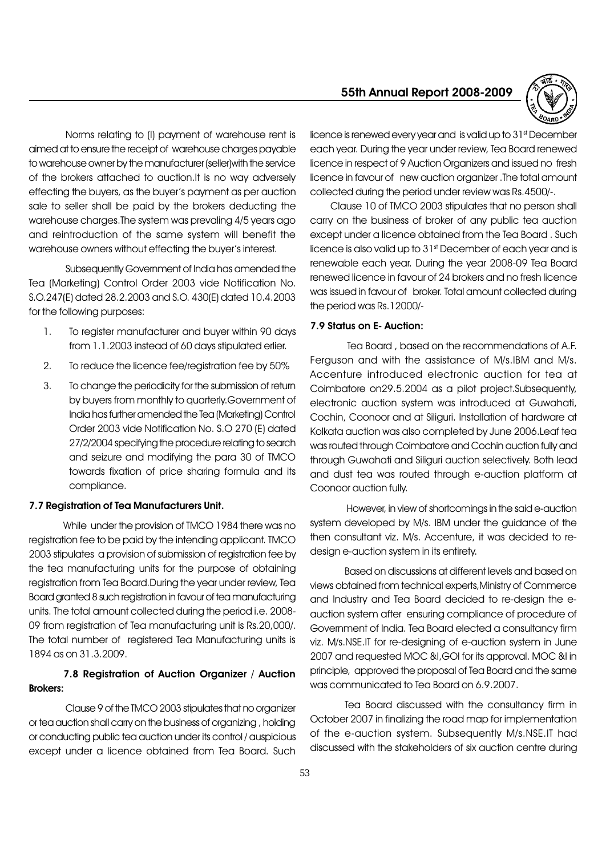

Norms relating to (I) payment of warehouse rent is aimed at to ensure the receipt of warehouse charges payable to warehouse owner by the manufacturer (seller)with the service of the brokers attached to auction.It is no way adversely effecting the buyers, as the buyer's payment as per auction sale to seller shall be paid by the brokers deducting the warehouse charges.The system was prevaling 4/5 years ago and reintroduction of the same system will benefit the warehouse owners without effecting the buyer's interest.

Subsequently Government of India has amended the Tea (Marketing) Control Order 2003 vide Notification No. S.O.247(E) dated 28.2.2003 and S.O. 430(E) dated 10.4.2003 for the following purposes:

- 1. To register manufacturer and buyer within 90 days from 1.1.2003 instead of 60 days stipulated erlier.
- 2. To reduce the licence fee/registration fee by 50%
- 3. To change the periodicity for the submission of return by buyers from monthly to quarterly.Government of India has further amended the Tea (Marketing) Control Order 2003 vide Notification No. S.O 270 (E) dated 27/2/2004 specifying the procedure relating to search and seizure and modifying the para 30 of TMCO towards fixation of price sharing formula and its compliance.

#### 7.7 Registration of Tea Manufacturers Unit.

While under the provision of TMCO 1984 there was no registration fee to be paid by the intending applicant. TMCO 2003 stipulates a provision of submission of registration fee by the tea manufacturing units for the purpose of obtaining registration from Tea Board.During the year under review, Tea Board granted 8 such registration in favour of tea manufacturing units. The total amount collected during the period i.e. 2008- 09 from registration of Tea manufacturing unit is Rs.20,000/. The total number of registered Tea Manufacturing units is 1894 as on 31.3.2009.

# 7.8 Registration of Auction Organizer / Auction Brokers:

Clause 9 of the TMCO 2003 stipulates that no organizer or tea auction shall carry on the business of organizing , holding or conducting public tea auction under its control / auspicious except under a licence obtained from Tea Board. Such

licence is renewed every year and is valid up to 31st December each year. During the year under review, Tea Board renewed licence in respect of 9 Auction Organizers and issued no fresh licence in favour of new auction organizer .The total amount collected during the period under review was Rs.4500/-.

Clause 10 of TMCO 2003 stipulates that no person shall carry on the business of broker of any public tea auction except under a licence obtained from the Tea Board . Such licence is also valid up to 31<sup>st</sup> December of each year and is renewable each year. During the year 2008-09 Tea Board renewed licence in favour of 24 brokers and no fresh licence was issued in favour of broker. Total amount collected during the period was Rs.12000/-

#### 7.9 Status on E- Auction:

 Tea Board , based on the recommendations of A.F. Ferguson and with the assistance of M/s.IBM and M/s. Accenture introduced electronic auction for tea at Coimbatore on29.5.2004 as a pilot project.Subsequently, electronic auction system was introduced at Guwahati, Cochin, Coonoor and at Siliguri. Installation of hardware at Kolkata auction was also completed by June 2006.Leaf tea was routed through Coimbatore and Cochin auction fully and through Guwahati and Siliguri auction selectively. Both lead and dust tea was routed through e-auction platform at Coonoor auction fully.

 However, in view of shortcomings in the said e-auction system developed by M/s. IBM under the guidance of the then consultant viz. M/s. Accenture, it was decided to redesign e-auction system in its entirety.

Based on discussions at different levels and based on views obtained from technical experts,Ministry of Commerce and Industry and Tea Board decided to re-design the eauction system after ensuring compliance of procedure of Government of India. Tea Board elected a consultancy firm viz. M/s.NSE.IT for re-designing of e-auction system in June 2007 and requested MOC &I,GOI for its approval. MOC &I in principle, approved the proposal of Tea Board and the same was communicated to Tea Board on 6.9.2007.

Tea Board discussed with the consultancy firm in October 2007 in finalizing the road map for implementation of the e-auction system. Subsequently M/s.NSE.IT had discussed with the stakeholders of six auction centre during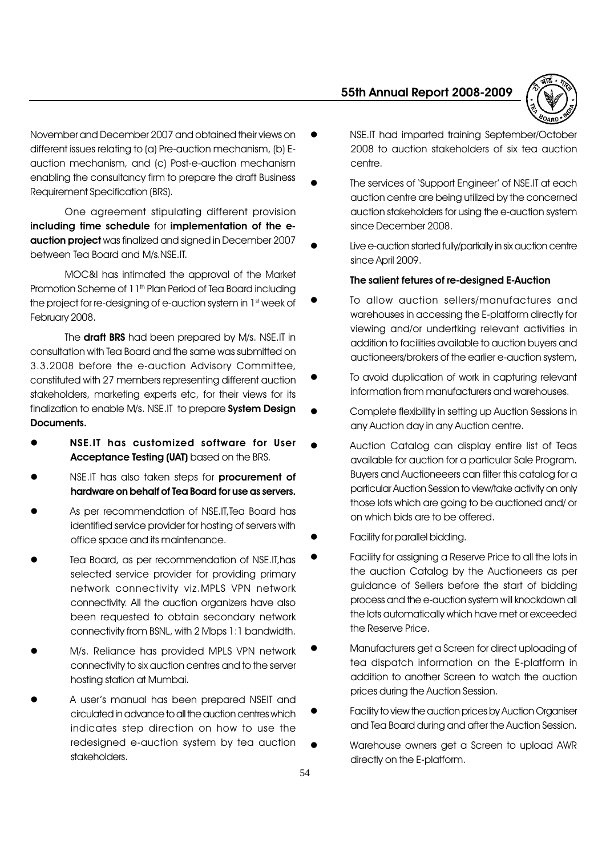

November and December 2007 and obtained their views on different issues relating to (a) Pre-auction mechanism, (b) Eauction mechanism, and (c) Post-e-auction mechanism enabling the consultancy firm to prepare the draft Business Requirement Specification (BRS).

One agreement stipulating different provision including time schedule for implementation of the eauction project was finalized and signed in December 2007 between Tea Board and M/s.NSE.IT.

MOC&I has intimated the approval of the Market Promotion Scheme of 11<sup>th</sup> Plan Period of Tea Board including the project for re-designing of e-auction system in 1st week of February 2008.

The **draft BRS** had been prepared by M/s. NSE.IT in consultation with Tea Board and the same was submitted on 3.3.2008 before the e-auction Advisory Committee, constituted with 27 members representing different auction stakeholders, marketing experts etc, for their views for its finalization to enable M/s. NSE.IT to prepare System Design Documents.

- l NSE.IT has customized software for User Acceptance Testing (UAT) based on the BRS.
- NSE.IT has also taken steps for procurement of hardware on behalf of Tea Board for use as servers.
- As per recommendation of NSE.IT, Tea Board has identified service provider for hosting of servers with office space and its maintenance.
- l Tea Board, as per recommendation of NSE.IT,has selected service provider for providing primary network connectivity viz.MPLS VPN network connectivity. All the auction organizers have also been requested to obtain secondary network connectivity from BSNL, with 2 Mbps 1:1 bandwidth.
- M/s. Reliance has provided MPLS VPN network connectivity to six auction centres and to the server hosting station at Mumbai.
- A user's manual has been prepared NSEIT and circulated in advance to all the auction centres which indicates step direction on how to use the redesigned e-auction system by tea auction stakeholders.
- l NSE.IT had imparted training September/October 2008 to auction stakeholders of six tea auction centre.
- The services of 'Support Engineer' of NSE.IT at each auction centre are being utilized by the concerned auction stakeholders for using the e-auction system since December 2008.
- Live e-auction started fully/partially in six auction centre since April 2009.

#### The salient fetures of re-designed E-Auction

- To allow auction sellers/manufactures and warehouses in accessing the E-platform directly for viewing and/or undertking relevant activities in addition to facilities available to auction buyers and auctioneers/brokers of the earlier e-auction system,
- To avoid duplication of work in capturing relevant information from manufacturers and warehouses.
- l Complete flexibility in setting up Auction Sessions in any Auction day in any Auction centre.
- Auction Catalog can display entire list of Teas available for auction for a particular Sale Program. Buyers and Auctioneeers can filter this catalog for a particular Auction Session to view/take activity on only those lots which are going to be auctioned and/ or on which bids are to be offered.
- Facility for parallel bidding.
- Facility for assigning a Reserve Price to all the lots in the auction Catalog by the Auctioneers as per guidance of Sellers before the start of bidding process and the e-auction system will knockdown all the lots automatically which have met or exceeded the Reserve Price.
- l Manufacturers get a Screen for direct uploading of tea dispatch information on the E-platform in addition to another Screen to watch the auction prices during the Auction Session.
- Facility to view the auction prices by Auction Organiser and Tea Board during and after the Auction Session.
- l Warehouse owners get a Screen to upload AWR directly on the E-platform.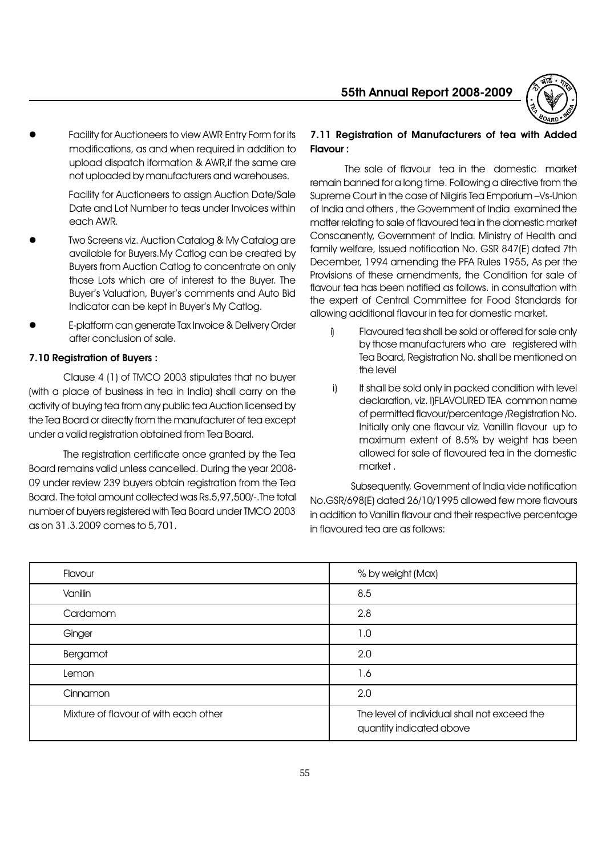

Facility for Auctioneers to view AWR Entry Form for its modifications, as and when required in addition to upload dispatch iformation & AWR,if the same are not uploaded by manufacturers and warehouses.

> Facility for Auctioneers to assign Auction Date/Sale Date and Lot Number to teas under Invoices within each AWR.

- Two Screens viz. Auction Catalog & My Catalog are available for Buyers.My Catlog can be created by Buyers from Auction Catlog to concentrate on only those Lots which are of interest to the Buyer. The Buyer's Valuation, Buyer's comments and Auto Bid Indicator can be kept in Buyer's My Catlog.
- l E-platform can generate Tax Invoice & Delivery Order after conclusion of sale.

# 7.10 Registration of Buyers :

Clause 4 (1) of TMCO 2003 stipulates that no buyer (with a place of business in tea in India) shall carry on the activity of buying tea from any public tea Auction licensed by the Tea Board or directly from the manufacturer of tea except under a valid registration obtained from Tea Board.

The registration certificate once granted by the Tea Board remains valid unless cancelled. During the year 2008- 09 under review 239 buyers obtain registration from the Tea Board. The total amount collected was Rs.5,97,500/-.The total number of buyers registered with Tea Board under TMCO 2003 as on 31.3.2009 comes to 5,701.

# 7.11 Registration of Manufacturers of tea with Added Flavour :

The sale of flavour tea in the domestic market remain banned for a long time. Following a directive from the Supreme Court in the case of Nilgiris Tea Emporium -Vs-Union of India and others , the Government of India examined the matter relating to sale of flavoured tea in the domestic market Conscanently, Government of India. Ministry of Health and family welfare, Issued notification No. GSR 847(E) dated 7th December, 1994 amending the PFA Rules 1955, As per the Provisions of these amendments, the Condition for sale of flavour tea has been notified as follows. in consultation with the expert of Central Committee for Food Standards for allowing additional flavour in tea for domestic market.

- i) Flavoured tea shall be sold or offered for sale only by those manufacturers who are registered with Tea Board, Registration No. shall be mentioned on the level
- i) It shall be sold only in packed condition with level declaration, viz. I)FLAVOURED TEA common name of permitted flavour/percentage /Registration No. Initially only one flavour viz. Vanillin flavour up to maximum extent of 8.5% by weight has been allowed for sale of flavoured tea in the domestic market .

 Subsequently, Government of India vide notification No.GSR/698(E) dated 26/10/1995 allowed few more flavours in addition to Vanillin flavour and their respective percentage in flavoured tea are as follows:

| Flavour                               | % by weight (Max)                                                        |
|---------------------------------------|--------------------------------------------------------------------------|
| Vanillin                              | 8.5                                                                      |
| Cardamom                              | 2.8                                                                      |
| Ginger                                | 1.0                                                                      |
| Bergamot                              | 2.0                                                                      |
| Lemon                                 | 1.6                                                                      |
| Cinnamon                              | 2.0                                                                      |
| Mixture of flavour of with each other | The level of individual shall not exceed the<br>quantity indicated above |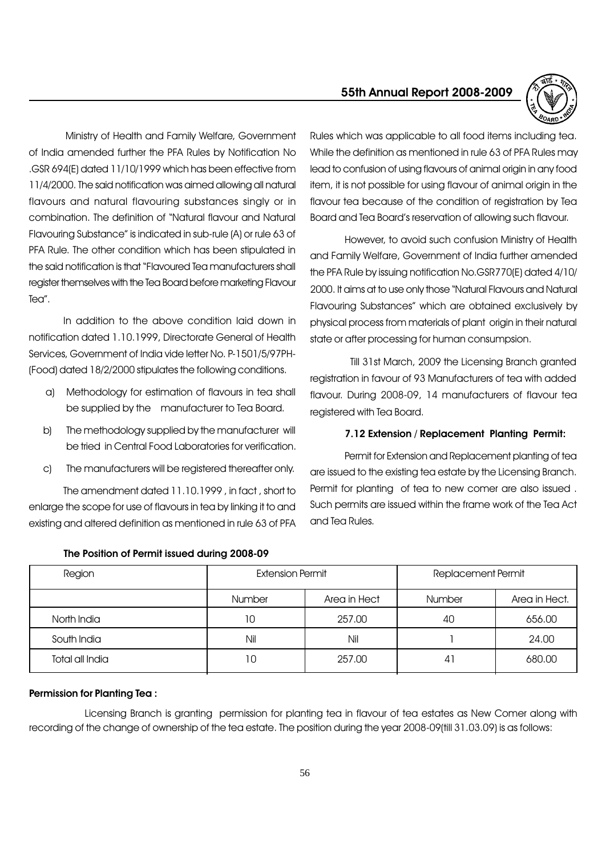

Ministry of Health and Family Welfare, Government of India amended further the PFA Rules by Notification No .GSR 694(E) dated 11/10/1999 which has been effective from 11/4/2000. The said notification was aimed allowing all natural flavours and natural flavouring substances singly or in combination. The definition of "Natural flavour and Natural Flavouring Substance" is indicated in sub-rule (A) or rule 63 of PFA Rule. The other condition which has been stipulated in the said notification is that "Flavoured Tea manufacturers shall register themselves with the Tea Board before marketing Flavour Tea".

In addition to the above condition laid down in notification dated 1.10.1999, Directorate General of Health Services, Government of India vide letter No. P-1501/5/97PH- (Food) dated 18/2/2000 stipulates the following conditions.

- a) Methodology for estimation of flavours in tea shall be supplied by the manufacturer to Tea Board.
- b) The methodology supplied by the manufacturer will be tried in Central Food Laboratories for verification.
- c) The manufacturers will be registered thereafter only.

The amendment dated 11.10.1999 , in fact , short to enlarge the scope for use of flavours in tea by linking it to and existing and altered definition as mentioned in rule 63 of PFA

Rules which was applicable to all food items including tea. While the definition as mentioned in rule 63 of PFA Rules may lead to confusion of using flavours of animal origin in any food item, it is not possible for using flavour of animal origin in the flavour tea because of the condition of registration by Tea Board and Tea Board's reservation of allowing such flavour.

However, to avoid such confusion Ministry of Health and Family Welfare, Government of India further amended the PFA Rule by issuing notification No.GSR770(E) dated 4/10/ 2000. It aims at to use only those "Natural Flavours and Natural Flavouring Substances" which are obtained exclusively by physical process from materials of plant origin in their natural state or after processing for human consumpsion.

 Till 31st March, 2009 the Licensing Branch granted registration in favour of 93 Manufacturers of tea with added flavour. During 2008-09, 14 manufacturers of flavour tea registered with Tea Board.

#### 7.12 Extension / Replacement Planting Permit:

Permit for Extension and Replacement planting of tea are issued to the existing tea estate by the Licensing Branch. Permit for planting of tea to new comer are also issued . Such permits are issued within the frame work of the Tea Act and Tea Rules.

| Region          | <b>Extension Permit</b>       |        | Replacement Permit |               |
|-----------------|-------------------------------|--------|--------------------|---------------|
|                 | Area in Hect<br><b>Number</b> |        | Number             | Area in Hect. |
| North India     | 10                            | 257.00 | 40                 | 656.00        |
| South India     | Nil                           | Nil    |                    | 24.00         |
| Total all India | 10                            | 257.00 | 41                 | 680.00        |

#### The Position of Permit issued during 2008-09

#### Permission for Planting Tea :

 Licensing Branch is granting permission for planting tea in flavour of tea estates as New Comer along with recording of the change of ownership of the tea estate. The position during the year 2008-09(till 31.03.09) is as follows: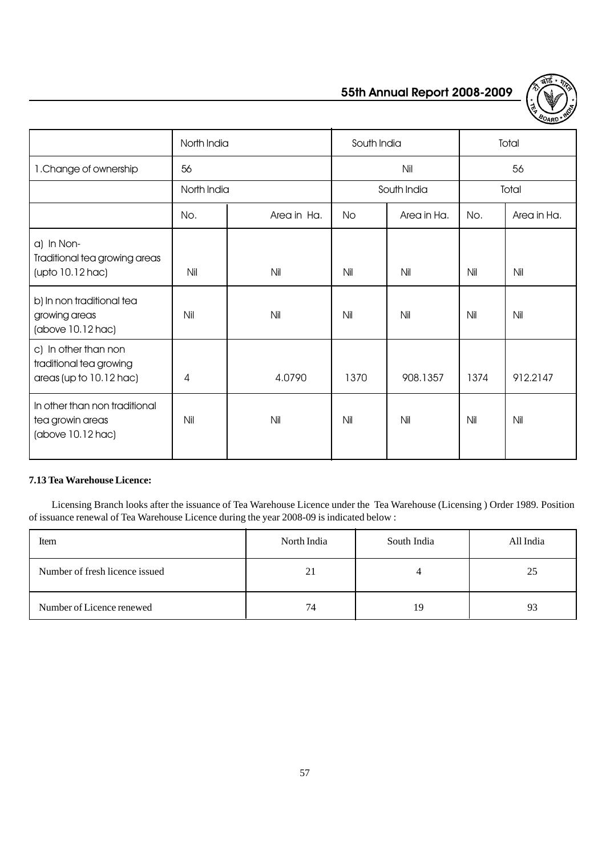

|                                                                            | North India |             | South India |             | Total |             |
|----------------------------------------------------------------------------|-------------|-------------|-------------|-------------|-------|-------------|
| 1. Change of ownership                                                     | 56          |             | Nil         |             | 56    |             |
|                                                                            | North India |             | South India |             | Total |             |
|                                                                            | No.         | Area in Ha. | No.         | Area in Ha. | No.   | Area in Ha. |
| a) In Non-<br>Traditional tea growing areas<br>$($ upto 10.12 hac $)$      | Nil         | Nil         | Nil         | Nil         | Nil   | Nil         |
| b) In non traditional tea<br>growing areas<br>(above 10.12 hac)            | Nil         | Nil         | Nil         | Nil         | Nil   | Nil         |
| c) In other than non<br>traditional tea growing<br>areas (up to 10.12 hac) | 4           | 4.0790      | 1370        | 908.1357    | 1374  | 912.2147    |
| In other than non traditional<br>tea growin areas<br>(above 10.12 hac)     | Nil         | Nil         | Nil         | Nil         | Nil   | Nil         |

#### **7.13 Tea Warehouse Licence:**

 Licensing Branch looks after the issuance of Tea Warehouse Licence under the Tea Warehouse (Licensing ) Order 1989. Position of issuance renewal of Tea Warehouse Licence during the year 2008-09 is indicated below :

| Item                           | North India | South India | All India |
|--------------------------------|-------------|-------------|-----------|
| Number of fresh licence issued | 21          |             | 25        |
| Number of Licence renewed      | 74          | 19          | 93        |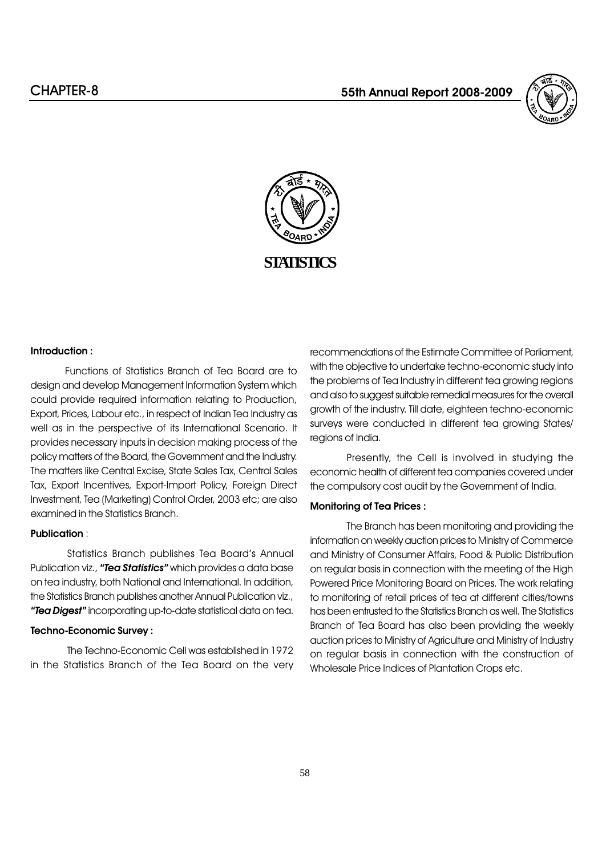



#### Introduction :

Functions of Statistics Branch of Tea Board are to design and develop Management Information System which could provide required information relating to Production, Export, Prices, Labour etc., in respect of Indian Tea Industry as well as in the perspective of its International Scenario. It provides necessary inputs in decision making process of the policy matters of the Board, the Government and the Industry. The matters like Central Excise, State Sales Tax, Central Sales Tax, Export Incentives, Export-Import Policy, Foreign Direct Investment, Tea (Marketing) Control Order, 2003 etc; are also examined in the Statistics Branch.

#### Publication :

Statistics Branch publishes Tea Board's Annual Publication viz., "**Tea Statistics**" which provides a data base on tea industry, both National and International. In addition, the Statistics Branch publishes another Annual Publication viz., "Tea Digest" incorporating up-to-date statistical data on tea.

#### Techno-Economic Survey :

The Techno-Economic Cell was established in 1972 in the Statistics Branch of the Tea Board on the very recommendations of the Estimate Committee of Parliament, with the objective to undertake techno-economic study into the problems of Tea Industry in different tea growing regions and also to suggest suitable remedial measures for the overall growth of the industry. Till date, eighteen techno-economic surveys were conducted in different tea growing States/ regions of India.

Presently, the Cell is involved in studying the economic health of different tea companies covered under the compulsory cost audit by the Government of India.

#### Monitoring of Tea Prices :

The Branch has been monitoring and providing the information on weekly auction prices to Ministry of Commerce and Ministry of Consumer Affairs, Food & Public Distribution on regular basis in connection with the meeting of the High Powered Price Monitoring Board on Prices. The work relating to monitoring of retail prices of tea at different cities/towns has been entrusted to the Statistics Branch as well. The Statistics Branch of Tea Board has also been providing the weekly auction prices to Ministry of Agriculture and Ministry of Industry on regular basis in connection with the construction of Wholesale Price Indices of Plantation Crops etc.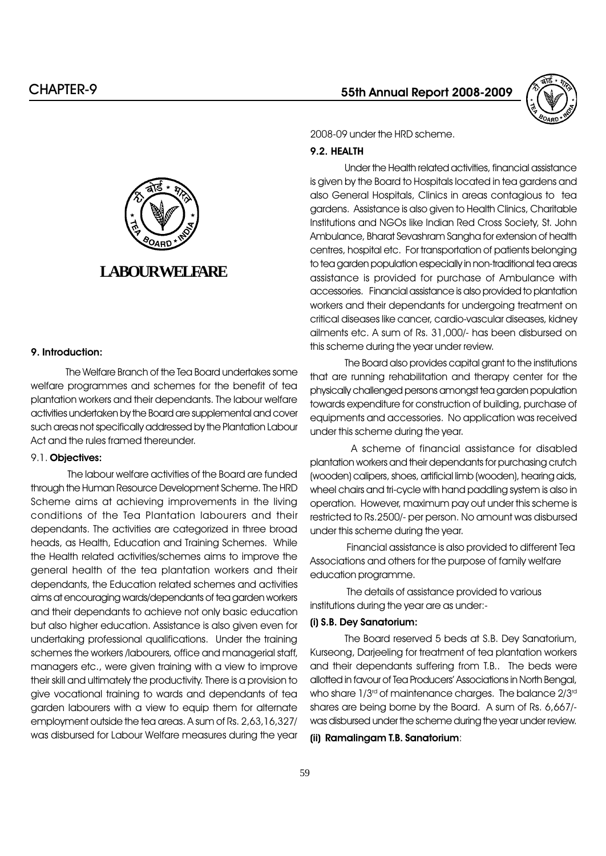

#### 9. Introduction:

The Welfare Branch of the Tea Board undertakes some welfare programmes and schemes for the benefit of tea plantation workers and their dependants. The labour welfare activities undertaken by the Board are supplemental and cover such areas not specifically addressed by the Plantation Labour Act and the rules framed thereunder.

#### 9.1. Objectives:

The labour welfare activities of the Board are funded through the Human Resource Development Scheme. The HRD Scheme aims at achieving improvements in the living conditions of the Tea Plantation labourers and their dependants. The activities are categorized in three broad heads, as Health, Education and Training Schemes. While the Health related activities/schemes aims to improve the general health of the tea plantation workers and their dependants, the Education related schemes and activities aims at encouraging wards/dependants of tea garden workers and their dependants to achieve not only basic education but also higher education. Assistance is also given even for undertaking professional qualifications. Under the training schemes the workers /labourers, office and managerial staff, managers etc., were given training with a view to improve their skill and ultimately the productivity. There is a provision to give vocational training to wards and dependants of tea garden labourers with a view to equip them for alternate employment outside the tea areas. A sum of Rs. 2,63,16,327/ was disbursed for Labour Welfare measures during the year

55th Annual Report 2008-2009



2008-09 under the HRD scheme.

#### 9.2. HEALTH

Under the Health related activities, financial assistance is given by the Board to Hospitals located in tea gardens and also General Hospitals, Clinics in areas contagious to tea gardens. Assistance is also given to Health Clinics, Charitable Institutions and NGOs like Indian Red Cross Society, St. John Ambulance, Bharat Sevashram Sangha for extension of health centres, hospital etc. For transportation of patients belonging to tea garden population especially in non-traditional tea areas assistance is provided for purchase of Ambulance with accessories. Financial assistance is also provided to plantation workers and their dependants for undergoing treatment on critical diseases like cancer, cardio-vascular diseases, kidney ailments etc. A sum of Rs. 31,000/- has been disbursed on this scheme during the year under review.

The Board also provides capital grant to the institutions that are running rehabilitation and therapy center for the physically challenged persons amongst tea garden population towards expenditure for construction of building, purchase of equipments and accessories. No application was received under this scheme during the year.

 A scheme of financial assistance for disabled plantation workers and their dependants for purchasing crutch (wooden) calipers, shoes, artificial limb (wooden), hearing aids, wheel chairs and tri-cycle with hand paddling system is also in operation. However, maximum pay out under this scheme is restricted to Rs.2500/- per person. No amount was disbursed under this scheme during the year.

Financial assistance is also provided to different Tea Associations and others for the purpose of family welfare education programme.

The details of assistance provided to various institutions during the year are as under:-

# (i) S.B. Dey Sanatorium:

The Board reserved 5 beds at S.B. Dey Sanatorium, Kurseong, Darjeeling for treatment of tea plantation workers and their dependants suffering from T.B.. The beds were allotted in favour of Tea Producers' Associations in North Bengal, who share  $1/3<sup>rd</sup>$  of maintenance charges. The balance  $2/3<sup>rd</sup>$ shares are being borne by the Board. A sum of Rs. 6,667/ was disbursed under the scheme during the year under review.

(ii) Ramalingam T.B. Sanatorium: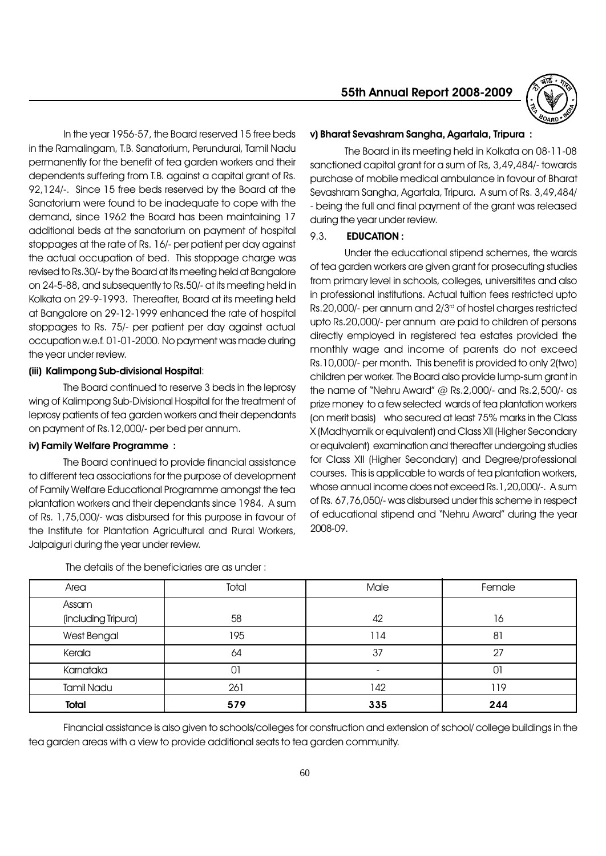In the year 1956-57, the Board reserved 15 free beds in the Ramalingam, T.B. Sanatorium, Perundurai, Tamil Nadu permanently for the benefit of tea garden workers and their dependents suffering from T.B. against a capital grant of Rs. 92,124/-. Since 15 free beds reserved by the Board at the Sanatorium were found to be inadequate to cope with the demand, since 1962 the Board has been maintaining 17 additional beds at the sanatorium on payment of hospital stoppages at the rate of Rs. 16/- per patient per day against the actual occupation of bed. This stoppage charge was revised to Rs.30/- by the Board at its meeting held at Bangalore on 24-5-88, and subsequently to Rs.50/- at its meeting held in Kolkata on 29-9-1993. Thereafter, Board at its meeting held at Bangalore on 29-12-1999 enhanced the rate of hospital stoppages to Rs. 75/- per patient per day against actual occupation w.e.f. 01-01-2000. No payment was made during the year under review.

#### (iii) Kalimpong Sub-divisional Hospital:

The Board continued to reserve 3 beds in the leprosy wing of Kalimpong Sub-Divisional Hospital for the treatment of leprosy patients of tea garden workers and their dependants on payment of Rs.12,000/- per bed per annum.

#### iv) Family Welfare Programme :

The Board continued to provide financial assistance to different tea associations for the purpose of development of Family Welfare Educational Programme amongst the tea plantation workers and their dependants since 1984. A sum of Rs. 1,75,000/- was disbursed for this purpose in favour of the Institute for Plantation Agricultural and Rural Workers, Jalpaiguri during the year under review.

### 55th Annual Report 2008-2009



#### v) Bharat Sevashram Sangha, Agartala, Tripura :

The Board in its meeting held in Kolkata on 08-11-08 sanctioned capital grant for a sum of Rs, 3,49,484/- towards purchase of mobile medical ambulance in favour of Bharat Sevashram Sangha, Agartala, Tripura. A sum of Rs. 3,49,484/ - being the full and final payment of the grant was released during the year under review.

### 9.3. EDUCATION :

Under the educational stipend schemes, the wards of tea garden workers are given grant for prosecuting studies from primary level in schools, colleges, universitites and also in professional institutions. Actual tuition fees restricted upto Rs.20,000/- per annum and 2/3rd of hostel charges restricted upto Rs.20,000/- per annum are paid to children of persons directly employed in registered tea estates provided the monthly wage and income of parents do not exceed Rs.10,000/- per month. This benefit is provided to only 2(two) children per worker. The Board also provide lump-sum grant in the name of "Nehru Award"  $@$  Rs.2,000/- and Rs.2,500/- as prize money to a few selected wards of tea plantation workers (on merit basis) who secured at least 75% marks in the Class X (Madhyamik or equivalent) and Class XII (Higher Secondary or equivalent) examination and thereafter undergoing studies for Class XII (Higher Secondary) and Degree/professional courses. This is applicable to wards of tea plantation workers, whose annual income does not exceed Rs.1,20,000/-. A sum of Rs. 67,76,050/- was disbursed under this scheme in respect of educational stipend and "Nehru Award" during the year 2008-09.

| Area                | Total | Male | Female |
|---------------------|-------|------|--------|
| Assam               |       |      |        |
| (including Tripura) | 58    | 42   | 16     |
| West Bengal         | 195   | 114  | 81     |
| Kerala              | 64    | 37   | 27     |
| Karnataka           | 01    |      | 01     |
| <b>Tamil Nadu</b>   | 261   | 142  | 119    |
| <b>Total</b>        | 579   | 335  | 244    |

The details of the beneficiaries are as under :

Financial assistance is also given to schools/colleges for construction and extension of school/ college buildings in the tea garden areas with a view to provide additional seats to tea garden community.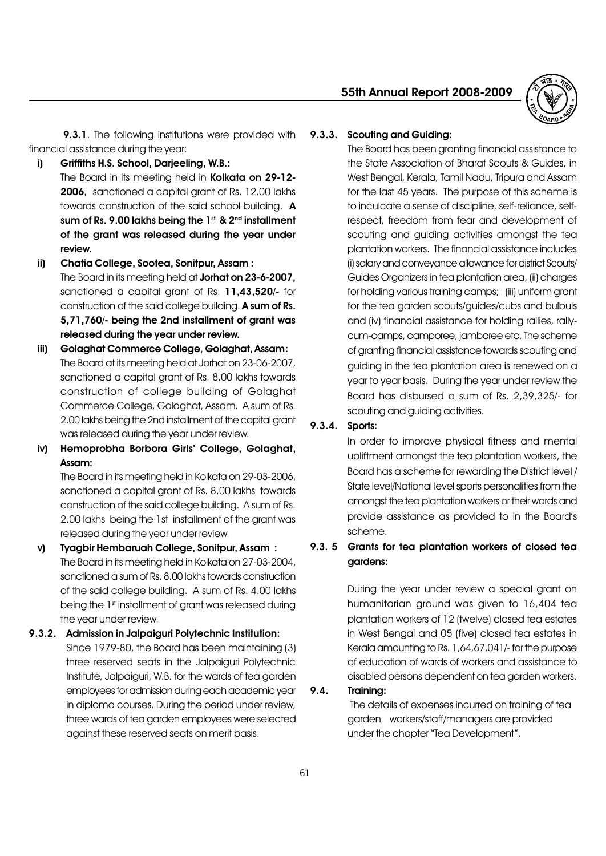

9.3.1. The following institutions were provided with financial assistance during the year:

- i) Griffiths H.S. School, Darjeeling, W.B.:
	- The Board in its meeting held in Kolkata on 29-12-2006, sanctioned a capital grant of Rs. 12.00 lakhs towards construction of the said school building. A sum of Rs. 9.00 lakhs being the  $1<sup>st</sup>$  &  $2<sup>nd</sup>$  installment of the grant was released during the year under review.
- ii) Chatia College, Sootea, Sonitpur, Assam : The Board in its meeting held at Jorhat on 23-6-2007, sanctioned a capital grant of Rs. 11,43,520/- for construction of the said college building. A sum of Rs. 5,71,760/- being the 2nd installment of grant was released during the year under review.
- iii) Golaghat Commerce College, Golaghat, Assam: The Board at its meeting held at Jorhat on 23-06-2007, sanctioned a capital grant of Rs. 8.00 lakhs towards construction of college building of Golaghat Commerce College, Golaghat, Assam. A sum of Rs. 2.00 lakhs being the 2nd installment of the capital grant was released during the year under review.
- iv) Hemoprobha Borbora Girls' College, Golaghat, Assam:

The Board in its meeting held in Kolkata on 29-03-2006, sanctioned a capital grant of Rs. 8.00 lakhs towards construction of the said college building. A sum of Rs. 2.00 lakhs being the 1st installment of the grant was released during the year under review.

v) Tyagbir Hembaruah College, Sonitpur, Assam : The Board in its meeting held in Kolkata on 27-03-2004, sanctioned a sum of Rs. 8.00 lakhs towards construction of the said college building. A sum of Rs. 4.00 lakhs being the 1<sup>st</sup> installment of grant was released during the year under review.

# 9.3.2. Admission in Jalpaiguri Polytechnic Institution: Since 1979-80, the Board has been maintaining (3) three reserved seats in the Jalpaiguri Polytechnic Institute, Jalpaiguri, W.B. for the wards of tea garden employees for admission during each academic year in diploma courses. During the period under review, three wards of tea garden employees were selected against these reserved seats on merit basis.

#### 9.3.3. Scouting and Guiding:

The Board has been granting financial assistance to the State Association of Bharat Scouts & Guides, in West Bengal, Kerala, Tamil Nadu, Tripura and Assam for the last 45 years. The purpose of this scheme is to inculcate a sense of discipline, self-reliance, selfrespect, freedom from fear and development of scouting and guiding activities amongst the tea plantation workers. The financial assistance includes (i) salary and conveyance allowance for district Scouts/ Guides Organizers in tea plantation area, (ii) charges for holding various training camps; (iii) uniform grant for the tea garden scouts/guides/cubs and bulbuls and (iv) financial assistance for holding rallies, rallycum-camps, camporee, jamboree etc. The scheme of granting financial assistance towards scouting and guiding in the tea plantation area is renewed on a year to year basis. During the year under review the Board has disbursed a sum of Rs. 2,39,325/- for scouting and guiding activities.

# 9.3.4. Sports:

In order to improve physical fitness and mental upliftment amongst the tea plantation workers, the Board has a scheme for rewarding the District level / State level/National level sports personalities from the amongst the tea plantation workers or their wards and provide assistance as provided to in the Board's scheme.

# 9.3. 5 Grants for tea plantation workers of closed tea gardens:

During the year under review a special grant on humanitarian ground was given to 16,404 tea plantation workers of 12 (twelve) closed tea estates in West Bengal and 05 (five) closed tea estates in Kerala amounting to Rs. 1,64,67,041/- for the purpose of education of wards of workers and assistance to disabled persons dependent on tea garden workers.

#### 9.4. Training:

 The details of expenses incurred on training of tea garden workers/staff/managers are provided under the chapter "Tea Development".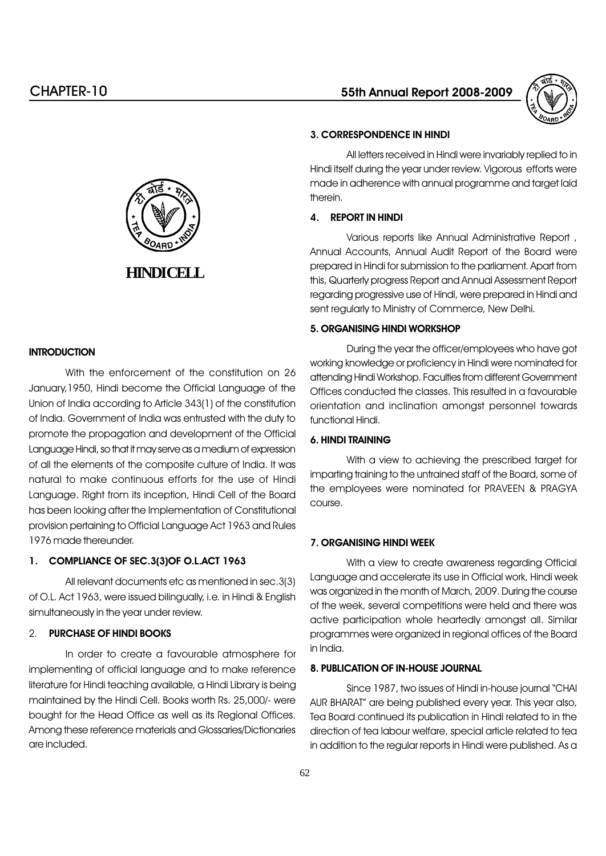



#### **INTRODUCTION**

With the enforcement of the constitution on 26 January,1950, Hindi become the Official Language of the Union of India according to Article 343(1) of the constitution of India. Government of India was entrusted with the duty to promote the propagation and development of the Official Language Hindi, so that it may serve as a medium of expression of all the elements of the composite culture of India. It was natural to make continuous efforts for the use of Hindi Language. Right from its inception, Hindi Cell of the Board has been looking after the Implementation of Constitutional provision pertaining to Official Language Act 1963 and Rules 1976 made thereunder.

# 1. COMPLIANCE OF SEC.3(3)OF O.L.ACT 1963

All relevant documents etc as mentioned in sec.3(3) of O.L. Act 1963, were issued bilingually, i.e. in Hindi & English simultaneously in the year under review.

#### 2. PURCHASE OF HINDI BOOKS

In order to create a favourable atmosphere for implementing of official language and to make reference literature for Hindi teaching available, a Hindi Library is being maintained by the Hindi Cell. Books worth Rs. 25,000/- were bought for the Head Office as well as its Regional Offices. Among these reference materials and Glossaries/Dictionaries are included.

#### 3. CORRESPONDENCE IN HINDI

All letters received in Hindi were invariably replied to in Hindi itself during the year under review. Vigorous efforts were made in adherence with annual programme and target laid therein.

#### 4. REPORT IN HINDI

Various reports like Annual Administrative Report , Annual Accounts, Annual Audit Report of the Board were prepared in Hindi for submission to the parliament. Apart from this, Quarterly progress Report and Annual Assessment Report regarding progressive use of Hindi, were prepared in Hindi and sent regularly to Ministry of Commerce, New Delhi.

#### 5. ORGANISING HINDI WORKSHOP

During the year the officer/employees who have got working knowledge or proficiency in Hindi were nominated for attending Hindi Workshop. Faculties from different Government Offices conducted the classes. This resulted in a favourable orientation and inclination amongst personnel towards functional Hindi.

#### 6. HINDI TRAINING

With a view to achieving the prescribed target for imparting training to the untrained staff of the Board, some of the employees were nominated for PRAVEEN & PRAGYA course.

# 7. ORGANISING HINDI WEEK

With a view to create awareness regarding Official Language and accelerate its use in Official work, Hindi week was organized in the month of March, 2009. During the course of the week, several competitions were held and there was active participation whole heartedly amongst all. Similar programmes were organized in regional offices of the Board in India.

#### 8. PUBLICATION OF IN-HOUSE JOURNAL

Since 1987, two issues of Hindi in-house journal "CHAI AUR BHARAT" are being published every year. This year also, Tea Board continued its publication in Hindi related to in the direction of tea labour welfare, special article related to tea in addition to the regular reports in Hindi were published. As a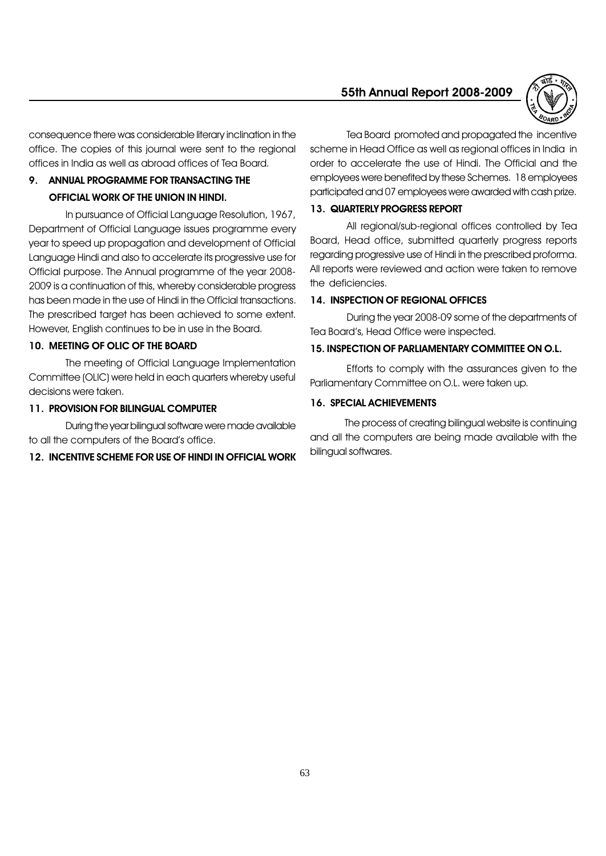

consequence there was considerable literary inclination in the office. The copies of this journal were sent to the regional offices in India as well as abroad offices of Tea Board.

# 9. ANNUAL PROGRAMME FOR TRANSACTING THE OFFICIAL WORK OF THE UNION IN HINDI.

In pursuance of Official Language Resolution, 1967, Department of Official Language issues programme every year to speed up propagation and development of Official Language Hindi and also to accelerate its progressive use for Official purpose. The Annual programme of the year 2008- 2009 is a continuation of this, whereby considerable progress has been made in the use of Hindi in the Official transactions. The prescribed target has been achieved to some extent. However, English continues to be in use in the Board.

### 10. MEETING OF OLIC OF THE BOARD

The meeting of Official Language Implementation Committee (OLIC) were held in each quarters whereby useful decisions were taken.

#### 11. PROVISION FOR BILINGUAL COMPUTER

During the year bilingual software were made available to all the computers of the Board's office.

#### 12. INCENTIVE SCHEME FOR USE OF HINDI IN OFFICIAL WORK

Tea Board promoted and propagated the incentive scheme in Head Office as well as regional offices in India in order to accelerate the use of Hindi. The Official and the employees were benefited by these Schemes. 18 employees participated and 07 employees were awarded with cash prize.

#### 13. QUARTERLY PROGRESS REPORT

All regional/sub-regional offices controlled by Tea Board, Head office, submitted quarterly progress reports regarding progressive use of Hindi in the prescribed proforma. All reports were reviewed and action were taken to remove the deficiencies.

#### 14. INSPECTION OF REGIONAL OFFICES

During the year 2008-09 some of the departments of Tea Board's, Head Office were inspected.

#### 15. INSPECTION OF PARLIAMENTARY COMMITTEE ON O.L.

Efforts to comply with the assurances given to the Parliamentary Committee on O.L. were taken up.

#### 16. SPECIAL ACHIEVEMENTS

The process of creating bilingual website is continuing and all the computers are being made available with the bilingual softwares.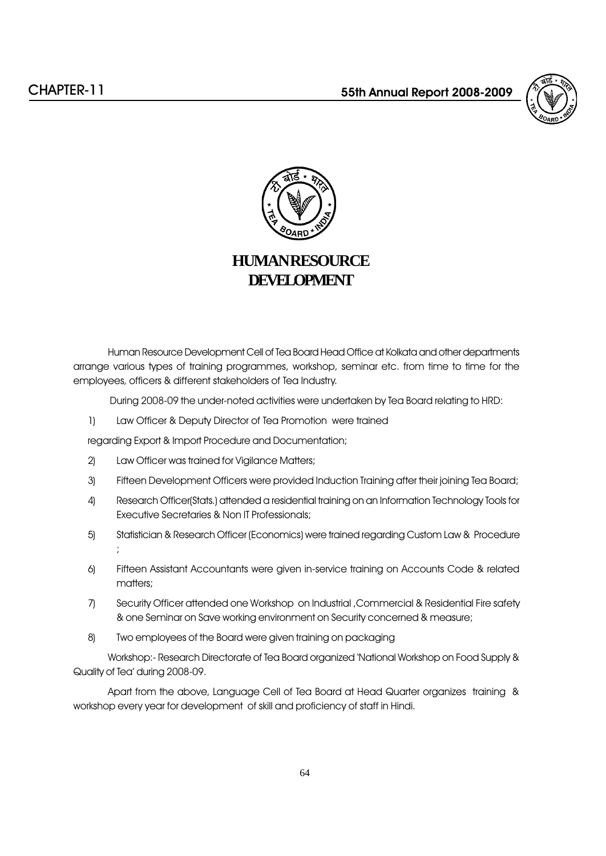



# **HUMAN RESOURCE DEVELOPMENT**

Human Resource Development Cell of Tea Board Head Office at Kolkata and other departments arrange various types of training programmes, workshop, seminar etc. from time to time for the employees, officers & different stakeholders of Tea Industry.

During 2008-09 the under-noted activities were undertaken by Tea Board relating to HRD:

1) Law Officer & Deputy Director of Tea Promotion were trained

regarding Export & Import Procedure and Documentation;

- 2) Law Officer was trained for Vigilance Matters;
- 3) Fifteen Development Officers were provided Induction Training after their joining Tea Board;
- 4) Research Officer(Stats.) attended a residential training on an Information Technology Tools for Executive Secretaries & Non IT Professionals;
- 5) Statistician & Research Officer (Economics) were trained regarding Custom Law & Procedure ;
- 6) Fifteen Assistant Accountants were given in-service training on Accounts Code & related matters:
- 7) Security Officer attended one Workshop on Industrial ,Commercial & Residential Fire safety & one Seminar on Save working environment on Security concerned & measure;
- 8) Two employees of the Board were given training on packaging

Workshop:- Research Directorate of Tea Board organized National Workshop on Food Supply & Quality of Tea' during 2008-09.

Apart from the above, Language Cell of Tea Board at Head Quarter organizes training & workshop every year for development of skill and proficiency of staff in Hindi.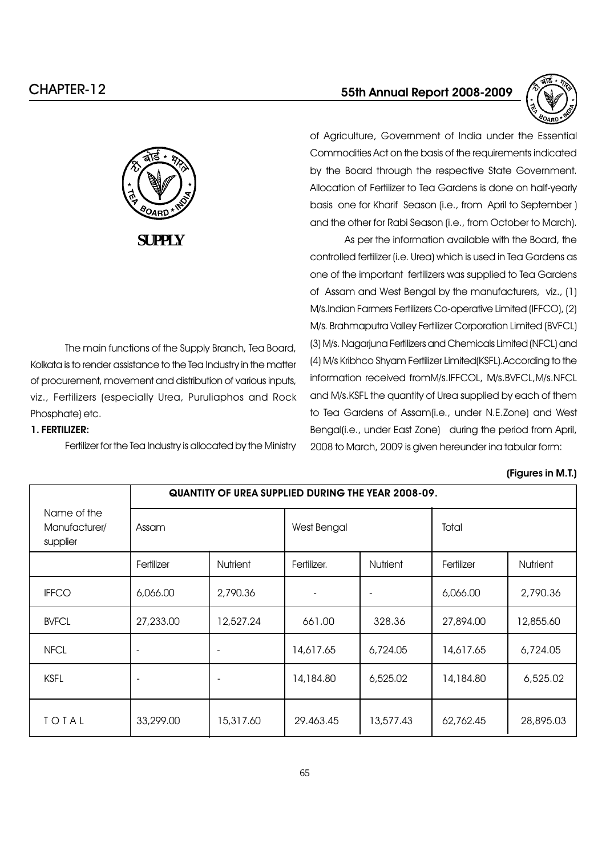



of Agriculture, Government of India under the Essential Commodities Act on the basis of the requirements indicated by the Board through the respective State Government. Allocation of Fertilizer to Tea Gardens is done on half-yearly basis one for Kharif Season (i.e., from April to September ) and the other for Rabi Season (i.e., from October to March).

As per the information available with the Board, the controlled fertilizer (i.e. Urea) which is used in Tea Gardens as one of the important fertilizers was supplied to Tea Gardens of Assam and West Bengal by the manufacturers, viz., (1) M/s.Indian Farmers Fertilizers Co-operative Limited (IFFCO), (2) M/s. Brahmaputra Valley Fertilizer Corporation Limited (BVFCL) (3) M/s. Nagarjuna Fertilizers and Chemicals Limited (NFCL) and (4) M/s Kribhco Shyam Fertilizer Limited(KSFL).According to the information received fromM/s.IFFCOL, M/s.BVFCL,M/s.NFCL and M/s.KSFL the quantity of Urea supplied by each of them to Tea Gardens of Assam(i.e., under N.E.Zone) and West Bengal(i.e., under East Zone) during the period from April, 2008 to March, 2009 is given hereunder ina tabular form:

### (Figures in M.T.)

|                                          |                          | <b>QUANTITY OF UREA SUPPLIED DURING THE YEAR 2008-09.</b> |                          |                          |            |                 |
|------------------------------------------|--------------------------|-----------------------------------------------------------|--------------------------|--------------------------|------------|-----------------|
| Name of the<br>Manufacturer/<br>supplier | Assam                    |                                                           | West Bengal              |                          | Total      |                 |
|                                          | Fertilizer               | Nutrient                                                  | Fertilizer.              | <b>Nutrient</b>          | Fertilizer | <b>Nutrient</b> |
| <b>IFFCO</b>                             | 6,066.00                 | 2,790.36                                                  | $\overline{\phantom{0}}$ | $\overline{\phantom{a}}$ | 6,066.00   | 2,790.36        |
| <b>BVFCL</b>                             | 27,233.00                | 12,527.24                                                 | 661.00                   | 328.36                   | 27,894.00  | 12,855.60       |
| <b>NFCL</b>                              | $\overline{\phantom{a}}$ |                                                           | 14,617.65                | 6,724.05                 | 14,617.65  | 6,724.05        |
| <b>KSFL</b>                              | $\overline{\phantom{a}}$ |                                                           | 14,184.80                | 6,525.02                 | 14,184.80  | 6,525.02        |
| TOTAL                                    | 33,299.00                | 15,317.60                                                 | 29.463.45                | 13,577.43                | 62,762.45  | 28,895.03       |



**SUPPLY**

The main functions of the Supply Branch, Tea Board, Kolkata is to render assistance to the Tea Industry in the matter of procurement, movement and distribution of various inputs, viz., Fertilizers (especially Urea, Puruliaphos and Rock Phosphate) etc.

### 1. FERTILIZER:

Fertilizer for the Tea Industry is allocated by the Ministry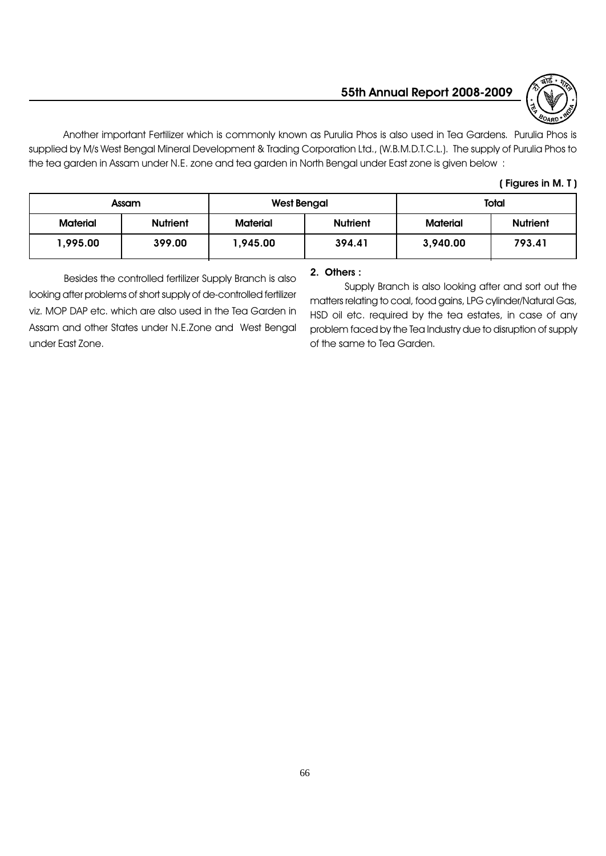

Another important Fertilizer which is commonly known as Purulia Phos is also used in Tea Gardens. Purulia Phos is supplied by M/s West Bengal Mineral Development & Trading Corporation Ltd., (W.B.M.D.T.C.L.). The supply of Purulia Phos to the tea garden in Assam under N.E. zone and tea garden in North Bengal under East zone is given below :

### ( Figures in M. T )

| <b>Assam</b>    |                 | <b>West Bengal</b> |                 | <b>Total</b>    |                 |
|-----------------|-----------------|--------------------|-----------------|-----------------|-----------------|
| <b>Material</b> | <b>Nutrient</b> | <b>Material</b>    | <b>Nutrient</b> | <b>Material</b> | <b>Nutrient</b> |
| 1,995.00        | 399.00          | 1,945.00           | 394.41          | 3,940.00        | 793.41          |

Besides the controlled fertilizer Supply Branch is also looking after problems of short supply of de-controlled fertilizer viz. MOP DAP etc. which are also used in the Tea Garden in Assam and other States under N.E.Zone and West Bengal under East Zone.

# 2. Others :

Supply Branch is also looking after and sort out the matters relating to coal, food gains, LPG cylinder/Natural Gas, HSD oil etc. required by the tea estates, in case of any problem faced by the Tea Industry due to disruption of supply of the same to Tea Garden.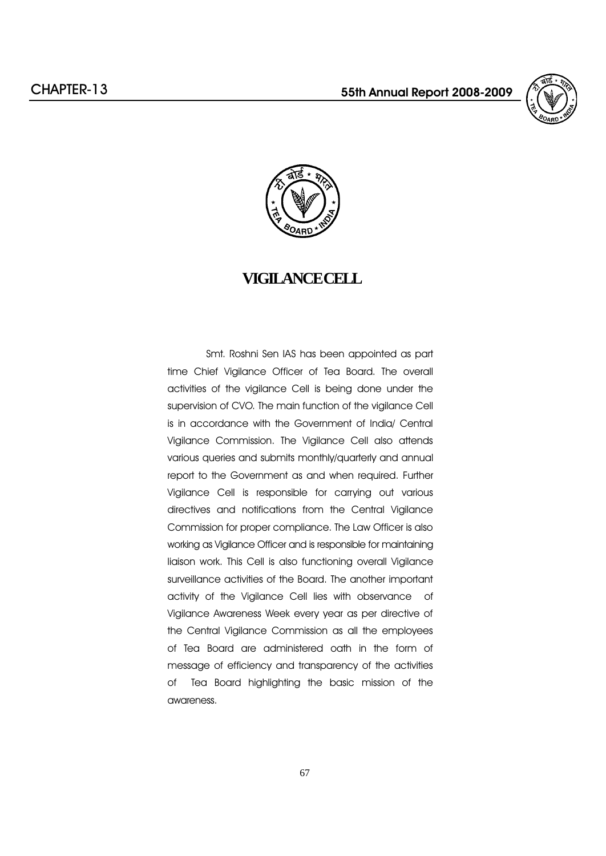



# **VIGILANCE CELL**

 Smt. Roshni Sen IAS has been appointed as part time Chief Vigilance Officer of Tea Board. The overall activities of the vigilance Cell is being done under the supervision of CVO. The main function of the vigilance Cell is in accordance with the Government of India/ Central Vigilance Commission. The Vigilance Cell also attends various queries and submits monthly/quarterly and annual report to the Government as and when required. Further Vigilance Cell is responsible for carrying out various directives and notifications from the Central Vigilance Commission for proper compliance. The Law Officer is also working as Vigilance Officer and is responsible for maintaining liaison work. This Cell is also functioning overall Vigilance surveillance activities of the Board. The another important activity of the Vigilance Cell lies with observance of Vigilance Awareness Week every year as per directive of the Central Vigilance Commission as all the employees of Tea Board are administered oath in the form of message of efficiency and transparency of the activities of Tea Board highlighting the basic mission of the awareness.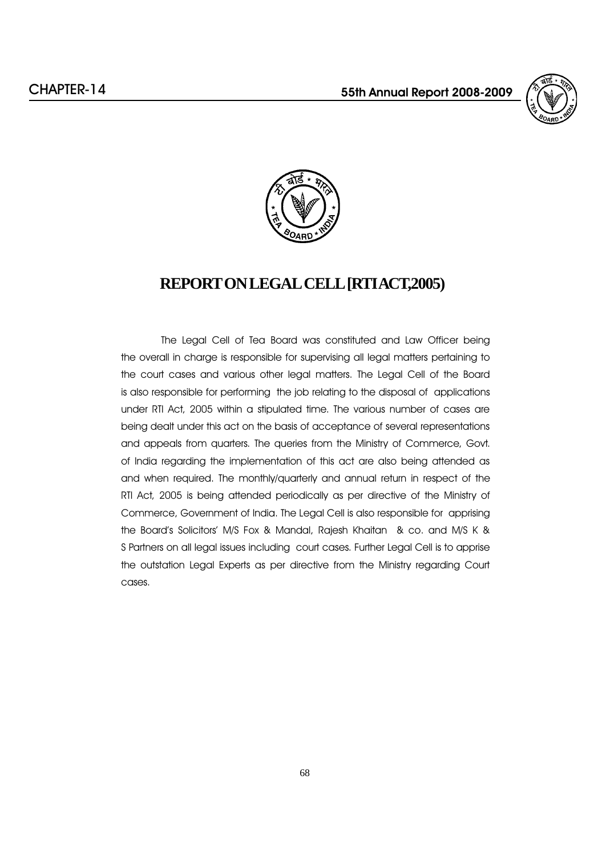



# **REPORT ON LEGAL CELL [RTI ACT,2005)**

 The Legal Cell of Tea Board was constituted and Law Officer being the overall in charge is responsible for supervising all legal matters pertaining to the court cases and various other legal matters. The Legal Cell of the Board is also responsible for performing the job relating to the disposal of applications under RTI Act, 2005 within a stipulated time. The various number of cases are being dealt under this act on the basis of acceptance of several representations and appeals from quarters. The queries from the Ministry of Commerce, Govt. of India regarding the implementation of this act are also being attended as and when required. The monthly/quarterly and annual return in respect of the RTI Act, 2005 is being attended periodically as per directive of the Ministry of Commerce, Government of India. The Legal Cell is also responsible for apprising the Board's Solicitors' M/S Fox & Mandal, Rajesh Khaitan & co. and M/S K & S Partners on all legal issues including court cases. Further Legal Cell is to apprise the outstation Legal Experts as per directive from the Ministry regarding Court cases.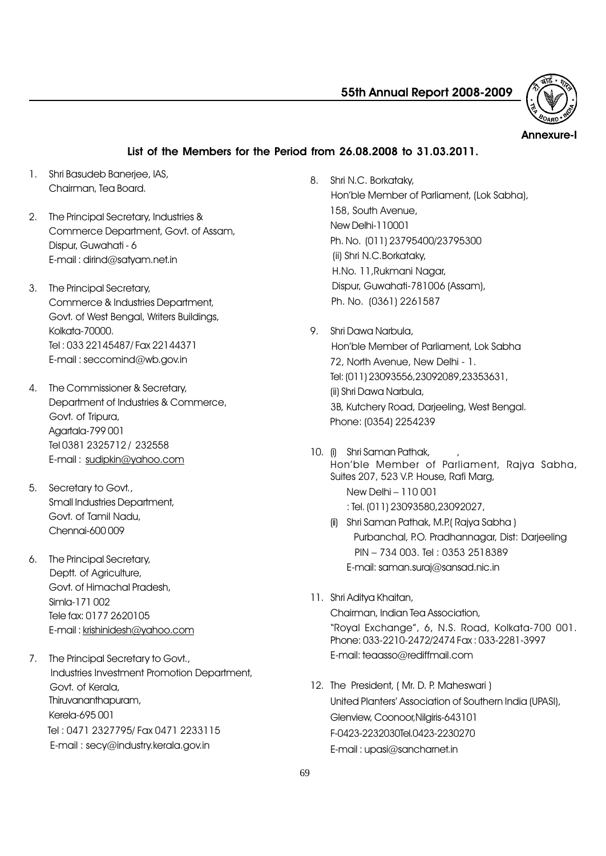

Annexure-I

# List of the Members for the Period from 26.08.2008 to 31.03.2011.

- 1. Shri Basudeb Baneriee, IAS, Chairman, Tea Board.
- 2. The Principal Secretary, Industries & Commerce Department, Govt. of Assam, Dispur, Guwahati - 6 E-mail : dirind@satyam.net.in
- 3. The Principal Secretary, Commerce & Industries Department, Govt. of West Bengal, Writers Buildings, Kolkata-70000. Tel : 033 22145487/ Fax 22144371 E-mail : seccomind@wb.gov.in
- 4. The Commissioner & Secretary, Department of Industries & Commerce, Govt. of Tripura, Agartala-799 001 Tel 0381 2325712 / 232558 E-mail : sudipkin@yahoo.com
- 5. Secretary to Govt., Small Industries Department, Govt. of Tamil Nadu, Chennai-600 009
- 6. The Principal Secretary, Deptt. of Agriculture, Govt. of Himachal Pradesh, Simla-171 002 Tele fax: 0177 2620105 E-mail : krishinidesh@yahoo.com
- 7. The Principal Secretary to Govt., Industries Investment Promotion Department, Govt. of Kerala, Thiruvananthapuram, Kerela-695 001 Tel : 0471 2327795/ Fax 0471 2233115 E-mail : secy@industry.kerala.gov.in
- 8. Shri N.C. Borkataky, Hon'ble Member of Parliament, (Lok Sabha), 158, South Avenue, New Delhi-110001 Ph. No. (011) 23795400/23795300 (ii) Shri N.C.Borkataky, H.No. 11,Rukmani Nagar, Dispur, Guwahati-781006 (Assam), Ph. No. (0361) 2261587
- 9. Shri Dawa Narbula, Hon'ble Member of Parliament, Lok Sabha 72, North Avenue, New Delhi - 1. Tel: (011) 23093556,23092089,23353631, (ii) Shri Dawa Narbula, 3B, Kutchery Road, Darjeeling, West Bengal. Phone: (0354) 2254239
- 10. (i) Shri Saman Pathak, Hon'ble Member of Parliament, Rajya Sabha, Suites 207, 523 V.P. House, Rafi Marg, New Delhi - 110 001 : Tel. (011) 23093580,23092027,
	- (ii) Shri Saman Pathak, M.P.( Rajya Sabha ) Purbanchal, P.O. Pradhannagar, Dist: Darjeeling PIN - 734 003. Tel: 0353 2518389 E-mail: saman.suraj@sansad.nic.in
- 11. Shri Aditya Khaitan,

Chairman, Indian Tea Association, "Royal Exchange", 6, N.S. Road, Kolkata-700 001. Phone: 033-2210-2472/2474 Fax : 033-2281-3997 E-mail: teaasso@rediffmail.com

12. The President, (Mr. D. P. Maheswari ) United Planters' Association of Southern India (UPASI), Glenview, Coonoor,Nilgiris-643101 F-0423-2232030Tel.0423-2230270 E-mail : upasi@sancharnet.in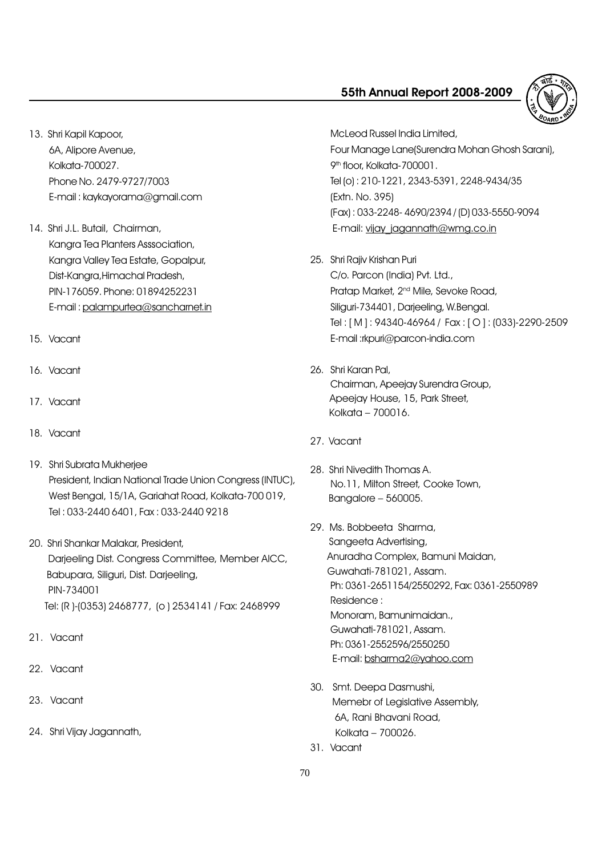

- 13. Shri Kapil Kapoor, 6A, Alipore Avenue, Kolkata-700027. Phone No. 2479-9727/7003 E-mail : kaykayorama@gmail.com
- 14. Shri J.L. Butail, Chairman, Kangra Tea Planters Asssociation, Kangra Valley Tea Estate, Gopalpur, Dist-Kangra,Himachal Pradesh, PIN-176059. Phone: 01894252231 E-mail : palampurtea@sancharnet.in
- 15. Vacant
- 16. Vacant
- 17. Vacant
- 18. Vacant
- 19. Shri Subrata Mukherjee President, Indian National Trade Union Congress (INTUC), West Bengal, 15/1A, Gariahat Road, Kolkata-700 019, Tel : 033-2440 6401, Fax : 033-2440 9218
- 20. Shri Shankar Malakar, President, Darjeeling Dist. Congress Committee, Member AICC, Babupara, Siliguri, Dist. Darjeeling, PIN-734001 Tel: (R )-(0353) 2468777, (o ) 2534141 / Fax: 2468999
- 21. Vacant
- 22. Vacant
- 23. Vacant
- 24. Shri Vijay Jagannath,

McLeod Russel India Limited, Four Manage Lane(Surendra Mohan Ghosh Sarani), 9<sup>th</sup> floor, Kolkata-700001. Tel (o) : 210-1221, 2343-5391, 2248-9434/35 (Extn. No. 395) (Fax) : 033-2248- 4690/2394 / (D) 033-5550-9094 E-mail: vijay\_jagannath@wmg.co.in

25. Shri Rajiv Krishan Puri

C/o. Parcon (India) Pvt. Ltd., Pratap Market, 2<sup>nd</sup> Mile, Sevoke Road, Siliguri-734401, Darjeeling, W.Bengal. Tel : [ M ] : 94340-46964 / Fax : [ O ] : (033)-2290-2509 E-mail :rkpuri@parcon-india.com

- 26. Shri Karan Pal, Chairman, Apeejay Surendra Group, Apeejay House, 15, Park Street, Kolkata - 700016.
- 27. Vacant
- 28. Shri Nivedith Thomas A. No.11, Milton Street, Cooke Town, Bangalore  $-560005$ .
- 29. Ms. Bobbeeta Sharma, Sangeeta Advertising, Anuradha Complex, Bamuni Maidan, Guwahati-781021, Assam. Ph: 0361-2651154/2550292, Fax: 0361-2550989 Residence : Monoram, Bamunimaidan., Guwahati-781021, Assam. Ph: 0361-2552596/2550250 E-mail: bsharma2@yahoo.com
- 30. Smt. Deepa Dasmushi, Memebr of Legislative Assembly, 6A, Rani Bhavani Road, Kolkata - 700026.
- 31. Vacant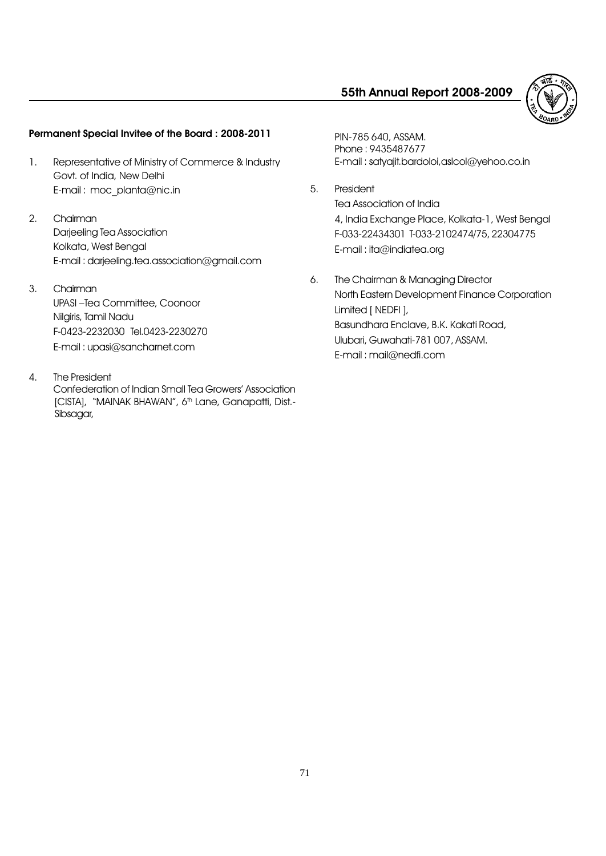

# Permanent Special Invitee of the Board : 2008-2011

- 1. Representative of Ministry of Commerce & Industry Govt. of India, New Delhi E-mail : moc\_planta@nic.in
- 2. Chairman Darjeeling Tea Association Kolkata, West Bengal E-mail : darjeeling.tea.association@gmail.com
- 3. Chairman

UPASI-Tea Committee, Coonoor Nilgiris, Tamil Nadu F-0423-2232030 Tel.0423-2230270 E-mail : upasi@sancharnet.com

4. The President

Confederation of Indian Small Tea Growers' Association [CISTA], "MAINAK BHAWAN", 6<sup>th</sup> Lane, Ganapatti, Dist.-Sibsagar,

PIN-785 640, ASSAM. Phone : 9435487677 E-mail : satyajit.bardoloi,aslcol@yehoo.co.in

- 5. President Tea Association of India 4, India Exchange Place, Kolkata-1, West Bengal F-033-22434301 T-033-2102474/75, 22304775 E-mail : ita@indiatea.org
- 6. The Chairman & Managing Director North Eastern Development Finance Corporation Limited [ NEDFI ], Basundhara Enclave, B.K. Kakati Road, Ulubari, Guwahati-781 007, ASSAM. E-mail : mail@nedfi.com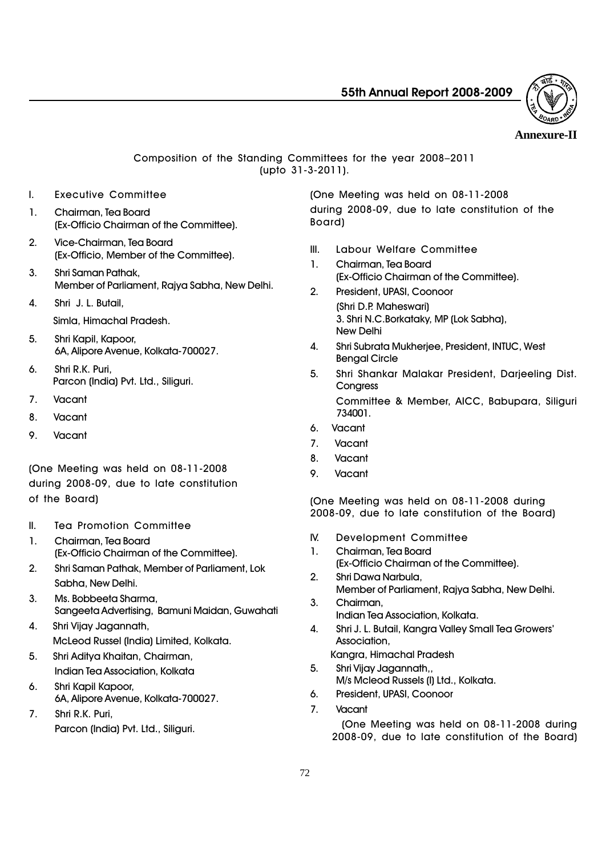

### **Annexure-II**

### Composition of the Standing Committees for the year 2008-2011 (upto 31-3-2011).

- I. Executive Committee
- 1. Chairman, Tea Board (Ex-Officio Chairman of the Committee).
- 2. Vice-Chairman, Tea Board (Ex-Officio, Member of the Committee).
- 3. Shri Saman Pathak, Member of Parliament, Rajya Sabha, New Delhi.
- 4. Shri J. L. Butail,
	- Simla, Himachal Pradesh.
- 5. Shri Kapil, Kapoor, 6A, Alipore Avenue, Kolkata-700027.
- 6. Shri R.K. Puri, Parcon (India) Pvt. Ltd., Siliguri.
- 7. Vacant
- 8. Vacant
- 9. Vacant

(One Meeting was held on 08-11-2008 during 2008-09, due to late constitution of the Board)

- II. Tea Promotion Committee
- 1. Chairman, Tea Board (Ex-Officio Chairman of the Committee).
- 2. Shri Saman Pathak, Member of Parliament, Lok Sabha, New Delhi.
- 3. Ms. Bobbeeta Sharma, Sangeeta Advertising, Bamuni Maidan, Guwahati
- 4. Shri Vijay Jagannath, McLeod Russel (India) Limited, Kolkata.
- 5. Shri Aditya Khaitan, Chairman, Indian Tea Association, Kolkata
- 6. Shri Kapil Kapoor, 6A, Alipore Avenue, Kolkata-700027.
- 7. Shri R.K. Puri, Parcon (India) Pvt. Ltd., Siliguri.

(One Meeting was held on 08-11-2008 during 2008-09, due to late constitution of the Board)

- III. Labour Welfare Committee
- 1. Chairman, Tea Board (Ex-Officio Chairman of the Committee).
- 2. President, UPASI, Coonoor (Shri D.P. Maheswari) 3. Shri N.C.Borkataky, MP (Lok Sabha), New Delhi
- 4. Shri Subrata Mukherjee, President, INTUC, West Bengal Circle
- 5. Shri Shankar Malakar President, Darjeeling Dist. **Congress** Committee & Member, AICC, Babupara, Siliguri 734001.
- 6. Vacant
- 7. Vacant
- 8. Vacant
- 9. Vacant

(One Meeting was held on 08-11-2008 during 2008-09, due to late constitution of the Board)

- IV. Development Committee
- 1. Chairman, Tea Board (Ex-Officio Chairman of the Committee).
- 2. Shri Dawa Narbula, Member of Parliament, Rajya Sabha, New Delhi. 3. Chairman,
- Indian Tea Association, Kolkata.
- 4. Shri J. L. Butail, Kangra Valley Small Tea Growers' Association,
	- Kangra, Himachal Pradesh
- 5. Shri Vijay Jagannath,, M/s Mcleod Russels (I) Ltd., Kolkata.
- 6. President, UPASI, Coonoor
- 7. Vacant

(One Meeting was held on 08-11-2008 during 2008-09, due to late constitution of the Board)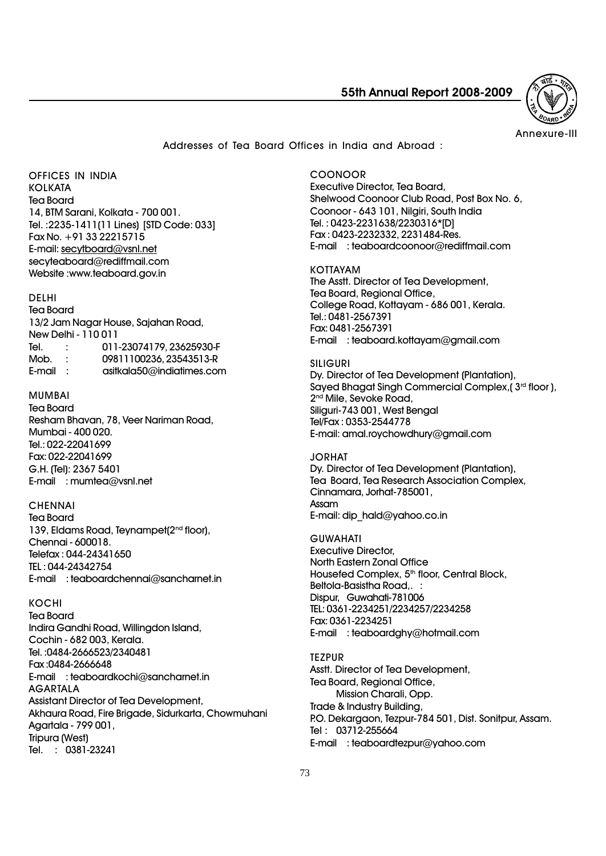

Annexure-III

Addresses of Tea Board Offices in India and Abroad :

OFFICES IN INDIA **KOLKATA** Tea Board 14, BTM Sarani, Kolkata - 700 001. Tel. :2235-1411(11 Lines) [STD Code: 033] Fax No. +91 33 22215715 E-mail: secytboard@vsnl.net secyteaboard@rediffmail.com Website :www.teaboard.gov.in

#### DELHI

Tea Board 13/2 Jam Nagar House, Sajahan Road, New Delhi - 110 011<br>Tel. : 011 Tel. : 011-23074179, 23625930-F 09811100236, 23543513-R E-mail : asitkala50@indiatimes.com

#### MUMBAI

Tea Board Resham Bhavan, 78, Veer Nariman Road, Mumbai - 400 020. Tel.: 022-22041699 Fax: 022-22041699 G.H. (Tel): 2367 5401 E-mail : mumtea@vsnl.net

#### **CHENNAI**

Tea Board 139, Eldams Road, Teynampet(2<sup>nd</sup> floor), Chennai - 600018. Telefax : 044-24341650 TEL : 044-24342754 E-mail : teaboardchennai@sancharnet.in

#### KOCHI

Tea Board Indira Gandhi Road, Willingdon Island, Cochin - 682 003, Kerala. Tel. :0484-2666523/2340481 Fax :0484-2666648 E-mail : teaboardkochi@sancharnet.in AGARTALA Assistant Director of Tea Development, Akhaura Road, Fire Brigade, Sidurkarta, Chowmuhani Agartala - 799 001, Tripura (West) Tel. : 0381-23241

COONOOR Executive Director, Tea Board, Shelwood Coonoor Club Road, Post Box No. 6, Coonoor - 643 101, Nilgiri, South India Tel. : 0423-2231638/2230316\*[D] Fax : 0423-2232332, 2231484-Res. E-mail : teaboardcoonoor@rediffmail.com

KOTTAYAM The Asstt. Director of Tea Development, Tea Board, Regional Office, College Road, Kottayam - 686 001, Kerala. Tel.: 0481-2567391 Fax: 0481-2567391 E-mail : teaboard.kottayam@gmail.com

SILIGURI Dy. Director of Tea Development (Plantation), Sayed Bhagat Singh Commercial Complex, ( $3<sup>rd</sup>$  floor), 2<sup>nd</sup> Mile, Sevoke Road, Siliguri-743 001, West Bengal Tel/Fax : 0353-2544778 E-mail: amal.roychowdhury@gmail.com

JORHAT Dy. Director of Tea Development (Plantation), Tea Board, Tea Research Association Complex, Cinnamara, Jorhat-785001, Assam E-mail: dip\_hald@yahoo.co.in

GUWAHATI Executive Director, North Eastern Zonal Office Housefed Complex, 5<sup>th</sup> floor, Central Block, Beltola-Basistha Road,. : Dispur, Guwahati-781006 TEL: 0361-2234251/2234257/2234258 Fax: 0361-2234251 E-mail : teaboardghy@hotmail.com

**TEZPUR** Asstt. Director of Tea Development, Tea Board, Regional Office, Mission Charali, Opp. Trade & Industry Building, P.O. Dekargaon, Tezpur-784 501, Dist. Sonitpur, Assam. Tel : 03712-255664 E-mail : teaboardtezpur@yahoo.com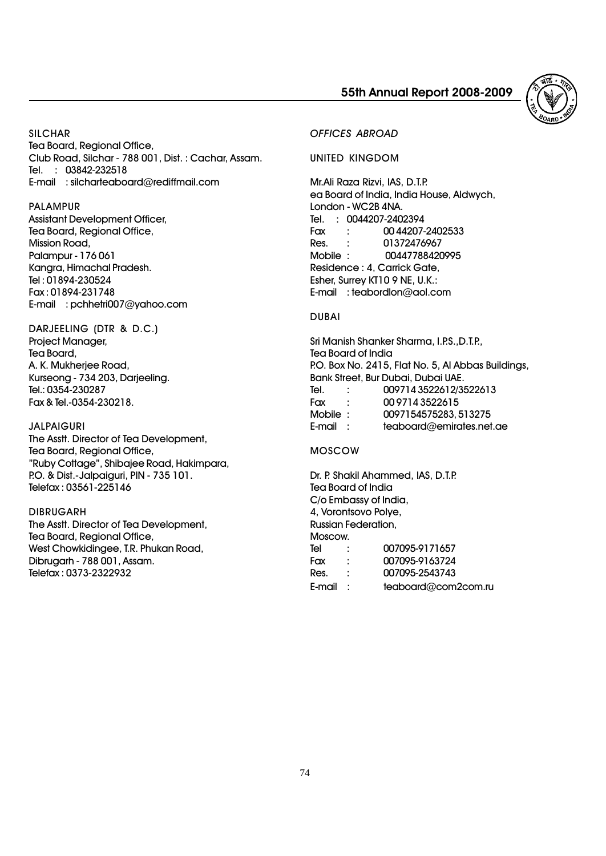

**SILCHAR** 

Tea Board, Regional Office, Club Road, Silchar - 788 001, Dist. : Cachar, Assam. Tel. : 03842-232518 E-mail : silcharteaboard@rediffmail.com

#### PALAMPUR

Assistant Development Officer, Tea Board, Regional Office, Mission Road, Palampur - 176 061 Kangra, Himachal Pradesh. Tel : 01894-230524 Fax : 01894-231748 E-mail : pchhetri007@yahoo.com

#### DARJEELING (DTR & D.C.) Project Manager, Tea Board, A. K. Mukherjee Road, Kurseong - 734 203, Darjeeling. Tel.: 0354-230287 Fax & Tel.-0354-230218.

#### JALPAIGURI

The Asstt. Director of Tea Development, Tea Board, Regional Office, "Ruby Cottage", Shibajee Road, Hakimpara, P.O. & Dist.-Jalpaiguri, PIN - 735 101. Telefax : 03561-225146

#### DIBRUGARH

The Asstt. Director of Tea Development, Tea Board, Regional Office, West Chowkidingee, T.R. Phukan Road, Dibrugarh - 788 001, Assam. Telefax : 0373-2322932

#### OFFICES ABROAD

UNITED KINGDOM

Mr.Ali Raza Rizvi, IAS, D.T.P. ea Board of India, India House, Aldwych, London - WC2B 4NA. Tel. : 0044207-2402394 Fax : 00 44207-2402533 Res. : 01372476967 Mobile : 00447788420995 Residence : 4, Carrick Gate, Esher, Surrey KT10 9 NE, U.K.: E-mail : teabordlon@aol.com

#### DUBAI

Sri Manish Shanker Sharma, I.P.S., D.T.P., Tea Board of India P.O. Box No. 2415, Flat No. 5, Al Abbas Buildings, Bank Street, Bur Dubai, Dubai UAE. Tel. : 009714 3522612/3522613 Fax : 00 9714 3522615 Mobile : 0097154575283, 513275 E-mail : teaboard@emirates.net.ae

#### MOSCOW

Dr. P. Shakil Ahammed, IAS, D.T.P. Tea Board of India C/o Embassy of India, 4, Vorontsovo Polye, Russian Federation, Moscow. Tel : 007095-9171657<br>Fax : 007095-9163724  $\cdot$  007095-9163724 Res. : 007095-2543743 E-mail : teaboard@com2com.ru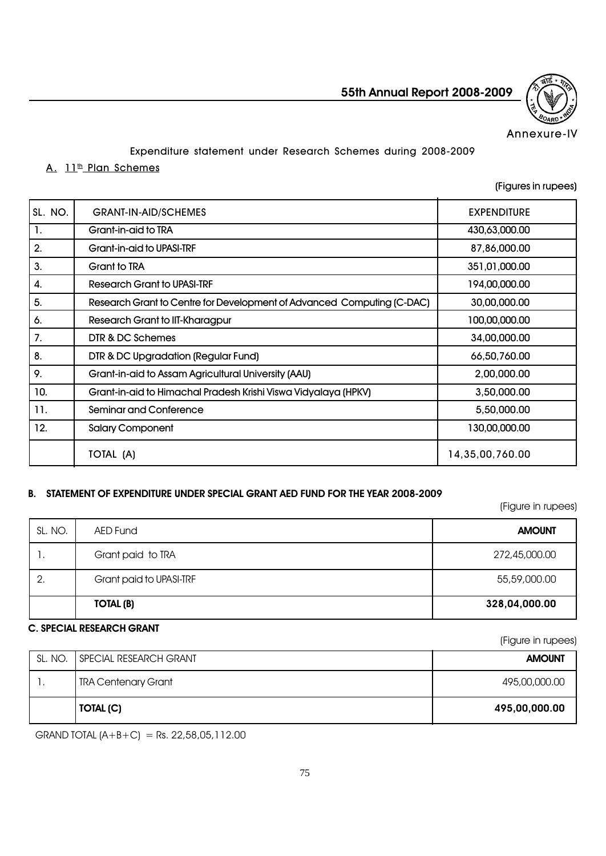

Annexure-IV

### Expenditure statement under Research Schemes during 2008-2009

### A. 11<sup>th</sup> Plan Schemes

(Figures in rupees)

| SL. NO. | <b>GRANT-IN-AID/SCHEMES</b>                                            | <b>EXPENDITURE</b> |
|---------|------------------------------------------------------------------------|--------------------|
| 1.      | Grant-in-aid to TRA                                                    | 430,63,000.00      |
| 2.      | Grant-in-aid to UPASI-TRF                                              | 87,86,000.00       |
| 3.      | <b>Grant to TRA</b>                                                    | 351,01,000.00      |
| 4.      | Research Grant to UPASI-TRF                                            | 194,00,000.00      |
| 5.      | Research Grant to Centre for Development of Advanced Computing (C-DAC) | 30,00,000.00       |
| 6.      | Research Grant to IIT-Kharagpur                                        | 100,00,000.00      |
| 7.      | DTR & DC Schemes                                                       | 34,00,000.00       |
| 8.      | DTR & DC Upgradation (Regular Fund)                                    | 66,50,760.00       |
| 9.      | Grant-in-aid to Assam Agricultural University (AAU)                    | 2,00,000.00        |
| 10.     | Grant-in-aid to Himachal Pradesh Krishi Viswa Vidyalaya (HPKV)         | 3,50,000.00        |
| 11.     | <b>Seminar and Conference</b>                                          | 5,50,000.00        |
| 12.     | <b>Salary Component</b>                                                | 130,00,000.00      |
|         | TOTAL (A)                                                              | 14,35,00,760.00    |

# B. STATEMENT OF EXPENDITURE UNDER SPECIAL GRANT AED FUND FOR THE YEAR 2008-2009

(Figure in rupees)

(Figure in rupees)

| SL. NO. | AED Fund                | <b>AMOUNT</b> |
|---------|-------------------------|---------------|
| . .     | Grant paid to TRA       | 272,45,000.00 |
| 2.      | Grant paid to UPASI-TRF | 55,59,000.00  |
|         | <b>TOTAL (B)</b>        | 328,04,000.00 |

### C. SPECIAL RESEARCH GRANT

SL. NO. SPECIAL RESEARCH GRANT AND AMOUNT AMOUNT 1. TRA Centenary Grant 495,00,000.00 TOTAL (C) 495,00,000.00

GRAND TOTAL  $(A+B+C)$  = Rs. 22,58,05,112.00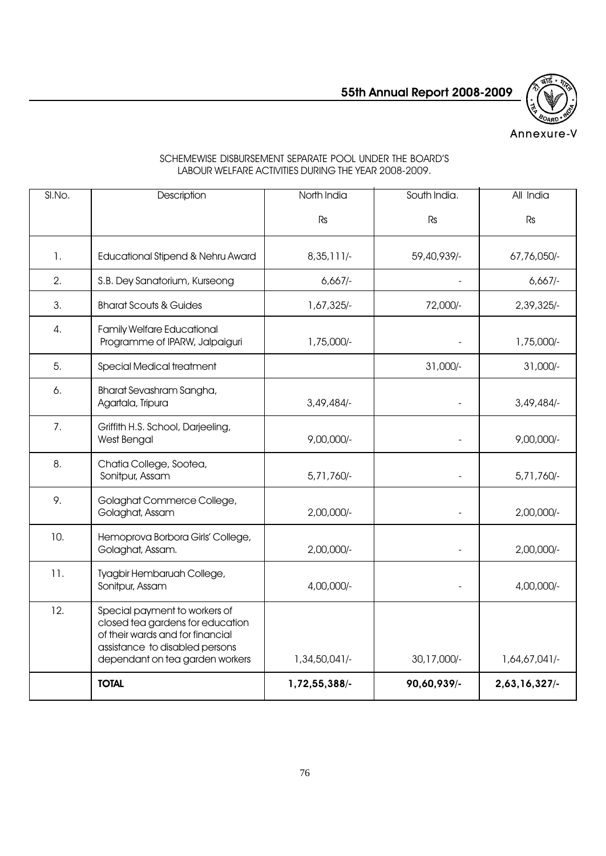

# Annexure-V

| SI.No. | Description                                                                                                                                                                | North India   | South India. | All India     |
|--------|----------------------------------------------------------------------------------------------------------------------------------------------------------------------------|---------------|--------------|---------------|
|        |                                                                                                                                                                            | Rs            | <b>Rs</b>    | Rs            |
| 1.     | Educational Stipend & Nehru Award                                                                                                                                          | $8,35,111/$ - | 59,40,939/-  | 67,76,050/-   |
| 2.     | S.B. Dey Sanatorium, Kurseong                                                                                                                                              | 6,667         |              | 6,667         |
| 3.     | <b>Bharat Scouts &amp; Guides</b>                                                                                                                                          | 1,67,325/-    | 72,000/-     | 2,39,325/-    |
| 4.     | <b>Family Welfare Educational</b><br>Programme of IPARW, Jalpaiguri                                                                                                        | 1,75,000/-    |              | 1,75,000/-    |
| 5.     | Special Medical treatment                                                                                                                                                  |               | 31,000/-     | 31,000/-      |
| 6.     | Bharat Sevashram Sangha,<br>Agartala, Tripura                                                                                                                              | 3,49,484/-    |              | 3,49,484      |
| 7.     | Griffith H.S. School, Darjeeling,<br>West Bengal                                                                                                                           | $9,00,000/-$  |              | $9,00,000/-$  |
| 8.     | Chatia College, Sootea,<br>Sonitpur, Assam                                                                                                                                 | 5,71,760/-    |              | 5,71,760/-    |
| 9.     | Golaghat Commerce College,<br>Golaghat, Assam                                                                                                                              | 2,00,000/-    |              | 2,00,000/-    |
| 10.    | Hemoprova Borbora Girls' College,<br>Golaghat, Assam.                                                                                                                      | 2,00,000/-    |              | 2,00,000/-    |
| 11.    | Tyagbir Hembaruah College,<br>Sonitpur, Assam                                                                                                                              | 4,00,000/-    |              | 4,00,000/-    |
| 12.    | Special payment to workers of<br>closed tea gardens for education<br>of their wards and for financial<br>assistance to disabled persons<br>dependant on tea garden workers | 1,34,50,041/- | 30,17,000/-  | 1,64,67,041/- |
|        | <b>TOTAL</b>                                                                                                                                                               | 1,72,55,388/- | 90,60,939/-  | 2,63,16,327/- |

### SCHEMEWISE DISBURSEMENT SEPARATE POOL UNDER THE BOARD'S LABOUR WELFARE ACTIVITIES DURING THE YEAR 2008-2009.